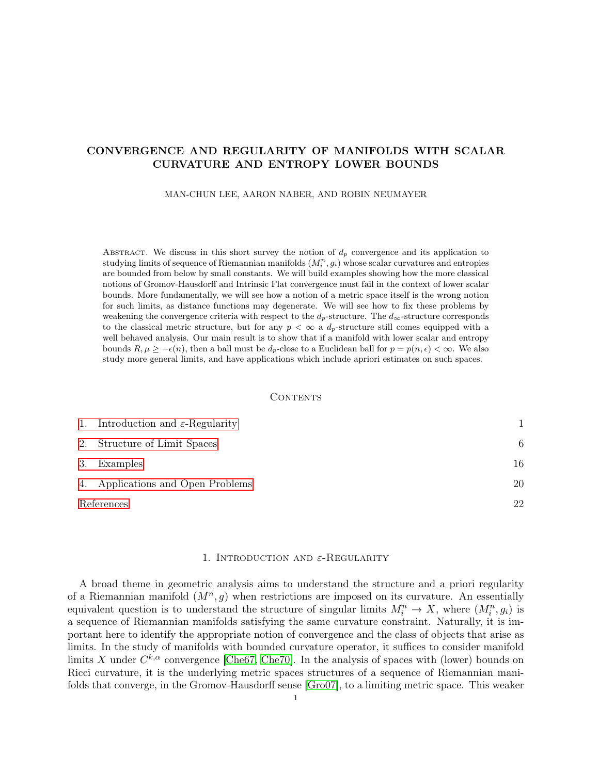# CONVERGENCE AND REGULARITY OF MANIFOLDS WITH SCALAR CURVATURE AND ENTROPY LOWER BOUNDS

MAN-CHUN LEE, AARON NABER, AND ROBIN NEUMAYER

ABSTRACT. We discuss in this short survey the notion of  $d_p$  convergence and its application to studying limits of sequence of Riemannian manifolds  $(M_i^n, g_i)$  whose scalar curvatures and entropies are bounded from below by small constants. We will build examples showing how the more classical notions of Gromov-Hausdorff and Intrinsic Flat convergence must fail in the context of lower scalar bounds. More fundamentally, we will see how a notion of a metric space itself is the wrong notion for such limits, as distance functions may degenerate. We will see how to fix these problems by weakening the convergence criteria with respect to the  $d_p$ -structure. The  $d_\infty$ -structure corresponds to the classical metric structure, but for any  $p < \infty$  a  $d_p$ -structure still comes equipped with a well behaved analysis. Our main result is to show that if a manifold with lower scalar and entropy bounds  $R, \mu \geq -\epsilon(n)$ , then a ball must be  $d_p$ -close to a Euclidean ball for  $p = p(n, \epsilon) < \infty$ . We also study more general limits, and have applications which include apriori estimates on such spaces.

## CONTENTS

| 1. Introduction and $\varepsilon$ -Regularity |    |
|-----------------------------------------------|----|
| 2. Structure of Limit Spaces                  | 6  |
| 3. Examples                                   | 16 |
| 4. Applications and Open Problems             | 20 |
| References                                    | 22 |

#### 1. INTRODUCTION AND  $\varepsilon$ -Regularity

<span id="page-0-0"></span>A broad theme in geometric analysis aims to understand the structure and a priori regularity of a Riemannian manifold  $(M^n, g)$  when restrictions are imposed on its curvature. An essentially equivalent question is to understand the structure of singular limits  $M_i^n \to X$ , where  $(M_i^n, g_i)$  is a sequence of Riemannian manifolds satisfying the same curvature constraint. Naturally, it is important here to identify the appropriate notion of convergence and the class of objects that arise as limits. In the study of manifolds with bounded curvature operator, it suffices to consider manifold limits X under  $C^{k,\alpha}$  convergence [\[Che67,](#page-21-1) [Che70\]](#page-21-2). In the analysis of spaces with (lower) bounds on Ricci curvature, it is the underlying metric spaces structures of a sequence of Riemannian manifolds that converge, in the Gromov-Hausdorff sense [\[Gro07\]](#page-21-3), to a limiting metric space. This weaker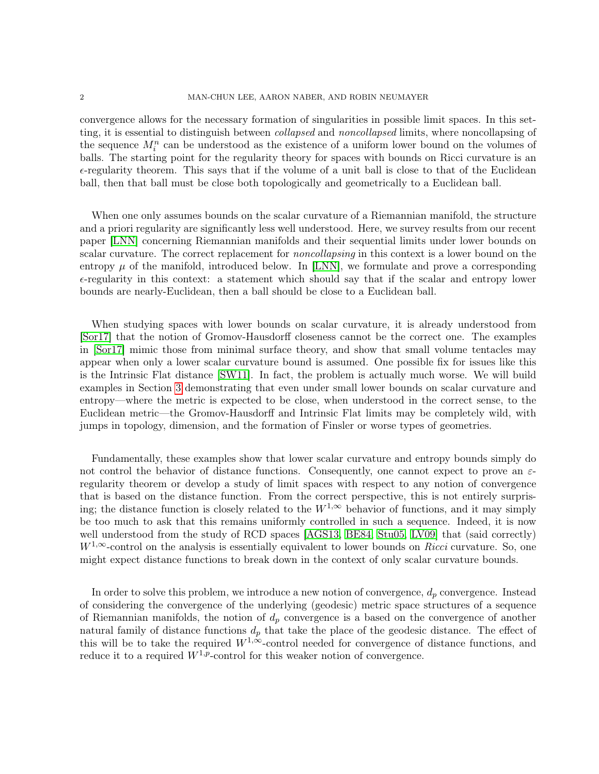convergence allows for the necessary formation of singularities in possible limit spaces. In this setting, it is essential to distinguish between *collapsed* and *noncollapsed* limits, where noncollapsing of the sequence  $M_i^n$  can be understood as the existence of a uniform lower bound on the volumes of balls. The starting point for the regularity theory for spaces with bounds on Ricci curvature is an  $\epsilon$ -regularity theorem. This says that if the volume of a unit ball is close to that of the Euclidean ball, then that ball must be close both topologically and geometrically to a Euclidean ball.

When one only assumes bounds on the scalar curvature of a Riemannian manifold, the structure and a priori regularity are significantly less well understood. Here, we survey results from our recent paper [\[LNN\]](#page-21-4) concerning Riemannian manifolds and their sequential limits under lower bounds on scalar curvature. The correct replacement for *noncollapsing* in this context is a lower bound on the entropy  $\mu$  of the manifold, introduced below. In [\[LNN\]](#page-21-4), we formulate and prove a corresponding  $\epsilon$ -regularity in this context: a statement which should say that if the scalar and entropy lower bounds are nearly-Euclidean, then a ball should be close to a Euclidean ball.

When studying spaces with lower bounds on scalar curvature, it is already understood from [\[Sor17\]](#page-21-5) that the notion of Gromov-Hausdorff closeness cannot be the correct one. The examples in [\[Sor17\]](#page-21-5) mimic those from minimal surface theory, and show that small volume tentacles may appear when only a lower scalar curvature bound is assumed. One possible fix for issues like this is the Intrinsic Flat distance [\[SW11\]](#page-21-6). In fact, the problem is actually much worse. We will build examples in Section [3](#page-15-0) demonstrating that even under small lower bounds on scalar curvature and entropy—where the metric is expected to be close, when understood in the correct sense, to the Euclidean metric—the Gromov-Hausdorff and Intrinsic Flat limits may be completely wild, with jumps in topology, dimension, and the formation of Finsler or worse types of geometries.

Fundamentally, these examples show that lower scalar curvature and entropy bounds simply do not control the behavior of distance functions. Consequently, one cannot expect to prove an  $\varepsilon$ regularity theorem or develop a study of limit spaces with respect to any notion of convergence that is based on the distance function. From the correct perspective, this is not entirely surprising; the distance function is closely related to the  $W^{1,\infty}$  behavior of functions, and it may simply be too much to ask that this remains uniformly controlled in such a sequence. Indeed, it is now well understood from the study of RCD spaces [\[AGS13,](#page-21-7) [BE84,](#page-21-8) [Stu05,](#page-21-9) [LV09\]](#page-21-10) that (said correctly)  $W^{1,\infty}$ -control on the analysis is essentially equivalent to lower bounds on Ricci curvature. So, one might expect distance functions to break down in the context of only scalar curvature bounds.

In order to solve this problem, we introduce a new notion of convergence,  $d_p$  convergence. Instead of considering the convergence of the underlying (geodesic) metric space structures of a sequence of Riemannian manifolds, the notion of  $d_p$  convergence is a based on the convergence of another natural family of distance functions  $d_p$  that take the place of the geodesic distance. The effect of this will be to take the required  $W^{1,\infty}$ -control needed for convergence of distance functions, and reduce it to a required  $W^{1,p}$ -control for this weaker notion of convergence.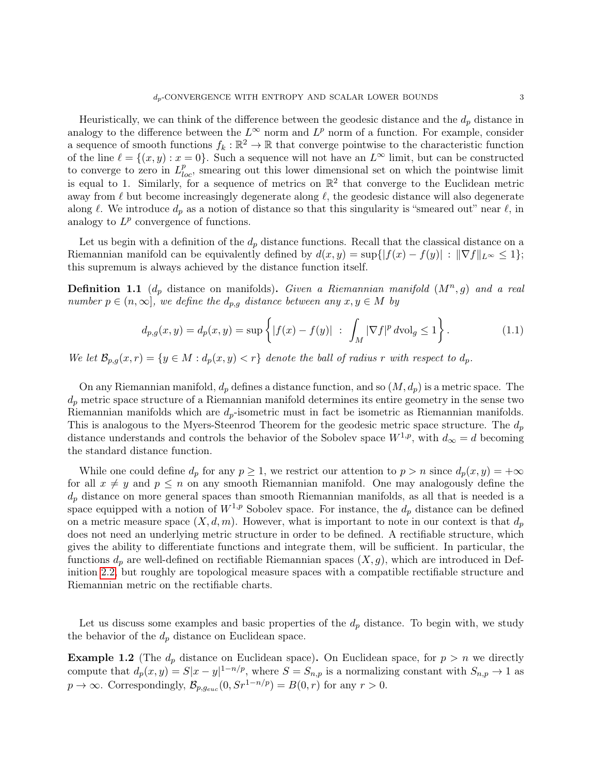Heuristically, we can think of the difference between the geodesic distance and the  $d_p$  distance in analogy to the difference between the  $L^{\infty}$  norm and  $L^{p}$  norm of a function. For example, consider a sequence of smooth functions  $f_k : \mathbb{R}^2 \to \mathbb{R}$  that converge pointwise to the characteristic function of the line  $\ell = \{(x, y) : x = 0\}$ . Such a sequence will not have an  $L^{\infty}$  limit, but can be constructed to converge to zero in  $L_{loc}^p$ , smearing out this lower dimensional set on which the pointwise limit is equal to 1. Similarly, for a sequence of metrics on  $\mathbb{R}^2$  that converge to the Euclidean metric away from  $\ell$  but become increasingly degenerate along  $\ell$ , the geodesic distance will also degenerate along  $\ell$ . We introduce  $d_p$  as a notion of distance so that this singularity is "smeared out" near  $\ell$ , in analogy to  $L^p$  convergence of functions.

Let us begin with a definition of the  $d_p$  distance functions. Recall that the classical distance on a Riemannian manifold can be equivalently defined by  $d(x, y) = \sup\{|f(x) - f(y)| : ||\nabla f||_{L^{\infty}} \leq 1\};$ this supremum is always achieved by the distance function itself.

**Definition 1.1** ( $d_p$  distance on manifolds). Given a Riemannian manifold  $(M^n, g)$  and a real number  $p \in (n, \infty]$ , we define the  $d_{p,q}$  distance between any  $x, y \in M$  by

$$
d_{p,g}(x,y) = d_p(x,y) = \sup \left\{ |f(x) - f(y)| \ : \ \int_M |\nabla f|^p \, d\text{vol}_g \le 1 \right\}.
$$
 (1.1)

We let  $\mathcal{B}_{p,q}(x,r) = \{y \in M : d_p(x,y) < r\}$  denote the ball of radius r with respect to  $d_p$ .

On any Riemannian manifold,  $d_p$  defines a distance function, and so  $(M, d_p)$  is a metric space. The  $d_p$  metric space structure of a Riemannian manifold determines its entire geometry in the sense two Riemannian manifolds which are  $d_p$ -isometric must in fact be isometric as Riemannian manifolds. This is analogous to the Myers-Steenrod Theorem for the geodesic metric space structure. The  $d_p$ distance understands and controls the behavior of the Sobolev space  $W^{1,p}$ , with  $d_{\infty} = d$  becoming the standard distance function.

While one could define  $d_p$  for any  $p \geq 1$ , we restrict our attention to  $p > n$  since  $d_p(x, y) = +\infty$ for all  $x \neq y$  and  $p \leq n$  on any smooth Riemannian manifold. One may analogously define the  $d_p$  distance on more general spaces than smooth Riemannian manifolds, as all that is needed is a space equipped with a notion of  $W^{1,p}$  Sobolev space. For instance, the  $d_p$  distance can be defined on a metric measure space  $(X, d, m)$ . However, what is important to note in our context is that  $d_p$ does not need an underlying metric structure in order to be defined. A rectifiable structure, which gives the ability to differentiate functions and integrate them, will be sufficient. In particular, the functions  $d_p$  are well-defined on rectifiable Riemannian spaces  $(X, g)$ , which are introduced in Definition [2.2,](#page-6-0) but roughly are topological measure spaces with a compatible rectifiable structure and Riemannian metric on the rectifiable charts.

Let us discuss some examples and basic properties of the  $d_p$  distance. To begin with, we study the behavior of the  $d_p$  distance on Euclidean space.

**Example 1.2** (The  $d_p$  distance on Euclidean space). On Euclidean space, for  $p > n$  we directly compute that  $d_p(x, y) = S|x - y|^{1 - n/p}$ , where  $S = S_{n,p}$  is a normalizing constant with  $S_{n,p} \to 1$  as  $p \to \infty$ . Correspondingly,  $\mathcal{B}_{p,g_{euc}}(0, S r^{1-n/p}) = B(0, r)$  for any  $r > 0$ .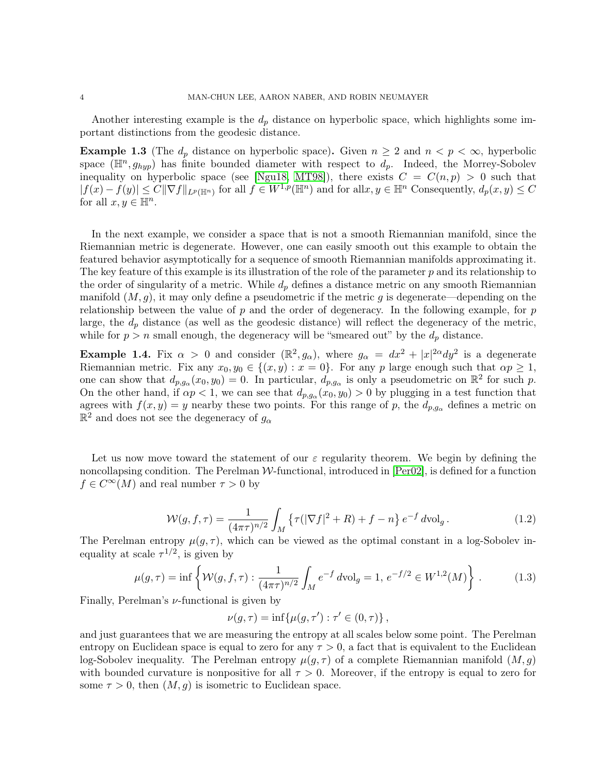Another interesting example is the  $d_p$  distance on hyperbolic space, which highlights some important distinctions from the geodesic distance.

<span id="page-3-1"></span>**Example 1.3** (The  $d_p$  distance on hyperbolic space). Given  $n \geq 2$  and  $n < p < \infty$ , hyperbolic space  $(\mathbb{H}^n, g_{hyp})$  has finite bounded diameter with respect to  $d_p$ . Indeed, the Morrey-Sobolev inequality on hyperbolic space (see [\[Ngu18,](#page-21-11) [MT98\]](#page-21-12)), there exists  $C = C(n, p) > 0$  such that  $|f(x)-f(y)|\leq C\|\nabla f\|_{L^p(\mathbb{H}^n)}$  for all  $f\in W^{1,p}(\mathbb{H}^n)$  and for all  $x,y\in \mathbb{H}^n$  Consequently,  $d_p(x,y)\leq C$ for all  $x, y \in \mathbb{H}^n$ .

In the next example, we consider a space that is not a smooth Riemannian manifold, since the Riemannian metric is degenerate. However, one can easily smooth out this example to obtain the featured behavior asymptotically for a sequence of smooth Riemannian manifolds approximating it. The key feature of this example is its illustration of the role of the parameter  $p$  and its relationship to the order of singularity of a metric. While  $d_p$  defines a distance metric on any smooth Riemannian manifold  $(M, g)$ , it may only define a pseudometric if the metric g is degenerate—depending on the relationship between the value of  $p$  and the order of degeneracy. In the following example, for  $p$ large, the  $d_p$  distance (as well as the geodesic distance) will reflect the degeneracy of the metric, while for  $p > n$  small enough, the degeneracy will be "smeared out" by the  $d_p$  distance.

<span id="page-3-0"></span>**Example 1.4.** Fix  $\alpha > 0$  and consider  $(\mathbb{R}^2, g_{\alpha})$ , where  $g_{\alpha} = dx^2 + |x|^{2\alpha} dy^2$  is a degenerate Riemannian metric. Fix any  $x_0, y_0 \in \{(x, y) : x = 0\}$ . For any p large enough such that  $\alpha p \ge 1$ , one can show that  $d_{p,g_\alpha}(x_0,y_0)=0$ . In particular,  $d_{p,g_\alpha}$  is only a pseudometric on  $\mathbb{R}^2$  for such p. On the other hand, if  $\alpha p < 1$ , we can see that  $d_{p,g_\alpha}(x_0,y_0) > 0$  by plugging in a test function that agrees with  $f(x, y) = y$  nearby these two points. For this range of p, the  $d_{p,q_\alpha}$  defines a metric on  $\mathbb{R}^2$  and does not see the degeneracy of  $g_{\alpha}$ 

Let us now move toward the statement of our  $\varepsilon$  regularity theorem. We begin by defining the noncollapsing condition. The Perelman  $W$ -functional, introduced in  $[Per02]$ , is defined for a function  $f \in C^{\infty}(M)$  and real number  $\tau > 0$  by

$$
\mathcal{W}(g, f, \tau) = \frac{1}{(4\pi\tau)^{n/2}} \int_M \left\{ \tau(|\nabla f|^2 + R) + f - n \right\} e^{-f} d\text{vol}_g.
$$
 (1.2)

The Perelman entropy  $\mu(g, \tau)$ , which can be viewed as the optimal constant in a log-Sobolev inequality at scale  $\tau^{1/2}$ , is given by

$$
\mu(g,\tau) = \inf \left\{ \mathcal{W}(g,f,\tau) : \frac{1}{(4\pi\tau)^{n/2}} \int_M e^{-f} d\text{vol}_g = 1, e^{-f/2} \in W^{1,2}(M) \right\}.
$$
 (1.3)

Finally, Perelman's  $\nu$ -functional is given by

$$
\nu(g,\tau) = \inf \{ \mu(g,\tau') : \tau' \in (0,\tau) \},
$$

and just guarantees that we are measuring the entropy at all scales below some point. The Perelman entropy on Euclidean space is equal to zero for any  $\tau > 0$ , a fact that is equivalent to the Euclidean log-Sobolev inequality. The Perelman entropy  $\mu(g, \tau)$  of a complete Riemannian manifold  $(M, g)$ with bounded curvature is nonpositive for all  $\tau > 0$ . Moreover, if the entropy is equal to zero for some  $\tau > 0$ , then  $(M, g)$  is isometric to Euclidean space.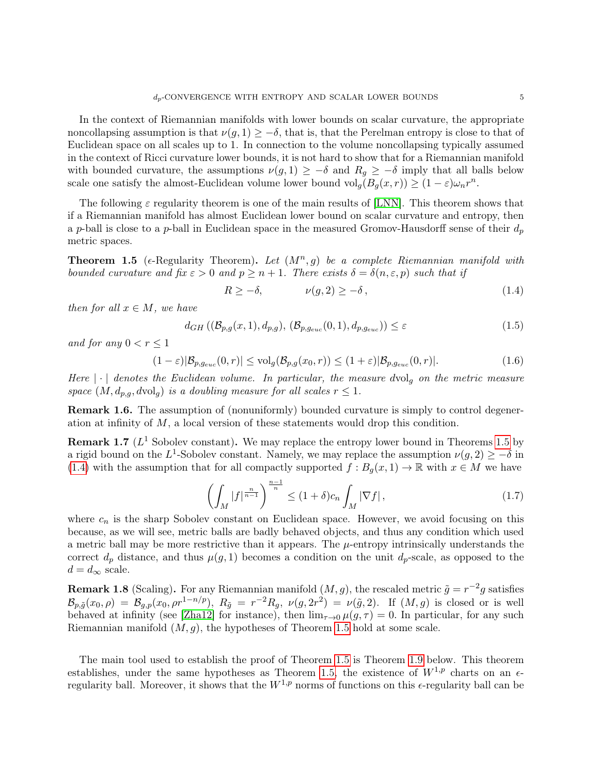In the context of Riemannian manifolds with lower bounds on scalar curvature, the appropriate noncollapsing assumption is that  $\nu(q, 1) \geq -\delta$ , that is, that the Perelman entropy is close to that of Euclidean space on all scales up to 1. In connection to the volume noncollapsing typically assumed in the context of Ricci curvature lower bounds, it is not hard to show that for a Riemannian manifold with bounded curvature, the assumptions  $\nu(g, 1) \geq -\delta$  and  $R_g \geq -\delta$  imply that all balls below scale one satisfy the almost-Euclidean volume lower bound  $\text{vol}_g(B_g(x,r)) \geq (1-\varepsilon)\omega_n r^n$ .

The following  $\varepsilon$  regularity theorem is one of the main results of [\[LNN\]](#page-21-4). This theorem shows that if a Riemannian manifold has almost Euclidean lower bound on scalar curvature and entropy, then a p-ball is close to a p-ball in Euclidean space in the measured Gromov-Hausdorff sense of their  $d_p$ metric spaces.

<span id="page-4-0"></span>**Theorem 1.5** ( $\epsilon$ -Regularity Theorem). Let  $(M^n, g)$  be a complete Riemannian manifold with bounded curvature and fix  $\varepsilon > 0$  and  $p \ge n + 1$ . There exists  $\delta = \delta(n, \varepsilon, p)$  such that if

<span id="page-4-1"></span>
$$
R \ge -\delta, \qquad \nu(g, 2) \ge -\delta \,, \tag{1.4}
$$

then for all  $x \in M$ , we have

$$
d_{GH}((\mathcal{B}_{p,g}(x,1), d_{p,g}), (\mathcal{B}_{p,g_{euc}}(0,1), d_{p,g_{euc}})) \le \varepsilon
$$
\n(1.5)

and for any  $0 < r \leq 1$ 

$$
(1 - \varepsilon)|\mathcal{B}_{p,g_{euc}}(0,r)| \le \text{vol}_g(\mathcal{B}_{p,g}(x_0,r)) \le (1 + \varepsilon)|\mathcal{B}_{p,g_{euc}}(0,r)|. \tag{1.6}
$$

Here  $|\cdot|$  denotes the Euclidean volume. In particular, the measure dvolg on the metric measure space  $(M, d_{p,q}, dvol_q)$  is a doubling measure for all scales  $r \leq 1$ .

**Remark 1.6.** The assumption of (nonuniformly) bounded curvature is simply to control degeneration at infinity of  $M$ , a local version of these statements would drop this condition.

**Remark 1.7** ( $L^1$  Sobolev constant). We may replace the entropy lower bound in Theorems [1.5](#page-4-0) by a rigid bound on the L<sup>1</sup>-Sobolev constant. Namely, we may replace the assumption  $\nu(g, 2) \geq -\delta$  in [\(1.4\)](#page-4-1) with the assumption that for all compactly supported  $f : B<sub>g</sub>(x, 1) \to \mathbb{R}$  with  $x \in M$  we have

$$
\left(\int_M |f|^{\frac{n}{n-1}}\right)^{\frac{n-1}{n}} \le (1+\delta)c_n \int_M |\nabla f|,\tag{1.7}
$$

where  $c_n$  is the sharp Sobolev constant on Euclidean space. However, we avoid focusing on this because, as we will see, metric balls are badly behaved objects, and thus any condition which used a metric ball may be more restrictive than it appears. The  $\mu$ -entropy intrinsically understands the correct  $d_p$  distance, and thus  $\mu(g, 1)$  becomes a condition on the unit  $d_p$ -scale, as opposed to the  $d = d_{\infty}$  scale.

**Remark 1.8** (Scaling). For any Riemannian manifold  $(M, g)$ , the rescaled metric  $\tilde{g} = r^{-2}g$  satisfies  $\mathcal{B}_{p,\tilde{g}}(x_0,\rho) = \mathcal{B}_{g,p}(x_0,\rho r^{1-n/p}),\ R_{\tilde{g}} = r^{-2}R_g,\ \nu(g,2r^2) = \nu(\tilde{g},2).$  If  $(M,g)$  is closed or is well behaved at infinity (see [\[Zha12\]](#page-22-0) for instance), then  $\lim_{\tau\to 0} \mu(g,\tau) = 0$ . In particular, for any such Riemannian manifold  $(M, g)$ , the hypotheses of Theorem [1.5](#page-4-0) hold at some scale.

The main tool used to establish the proof of Theorem [1.5](#page-4-0) is Theorem [1.9](#page-5-1) below. This theorem establishes, under the same hypotheses as Theorem [1.5,](#page-4-0) the existence of  $W^{1,p}$  charts on an  $\epsilon$ regularity ball. Moreover, it shows that the  $W^{1,p}$  norms of functions on this  $\epsilon$ -regularity ball can be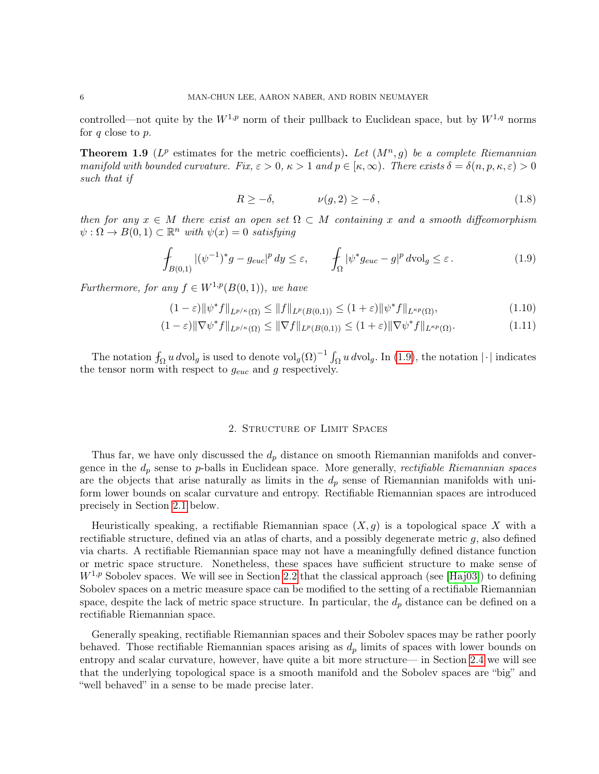controlled—not quite by the  $W^{1,p}$  norm of their pullback to Euclidean space, but by  $W^{1,q}$  norms for  $q$  close to  $p$ .

<span id="page-5-1"></span>**Theorem 1.9** ( $L^p$  estimates for the metric coefficients). Let  $(M^n, g)$  be a complete Riemannian manifold with bounded curvature. Fix,  $\varepsilon > 0$ ,  $\kappa > 1$  and  $p \in [\kappa, \infty)$ . There exists  $\delta = \delta(n, p, \kappa, \varepsilon) > 0$ such that if

<span id="page-5-2"></span>
$$
R \ge -\delta, \qquad \nu(g, 2) \ge -\delta \,, \tag{1.8}
$$

then for any  $x \in M$  there exist an open set  $\Omega \subset M$  containing x and a smooth diffeomorphism  $\psi : \Omega \to B(0,1) \subset \mathbb{R}^n$  with  $\psi(x) = 0$  satisfying

$$
\int_{B(0,1)} |(\psi^{-1})^* g - g_{euc}|^p dy \le \varepsilon, \qquad \int_{\Omega} |\psi^* g_{euc} - g|^p dvol_g \le \varepsilon.
$$
\n(1.9)

Furthermore, for any  $f \in W^{1,p}(B(0,1))$ , we have

$$
(1 - \varepsilon) \|\psi^* f\|_{L^{p/\kappa}(\Omega)} \le \|f\|_{L^p(B(0, 1))} \le (1 + \varepsilon) \|\psi^* f\|_{L^{\kappa p}(\Omega)},\tag{1.10}
$$

$$
(1 - \varepsilon) \|\nabla \psi^* f\|_{L^{p/\kappa}(\Omega)} \le \|\nabla f\|_{L^p(B(0,1))} \le (1 + \varepsilon) \|\nabla \psi^* f\|_{L^{\kappa p}(\Omega)}.
$$
\n(1.11)

The notation  $f_{\Omega} u dvol_g$  is used to denote  $vol_g(\Omega)^{-1} \int_{\Omega} u dvol_g$ . In [\(1.9\)](#page-5-2), the notation |·| indicates the tensor norm with respect to  $g_{euc}$  and g respectively.

#### 2. Structure of Limit Spaces

<span id="page-5-0"></span>Thus far, we have only discussed the  $d_p$  distance on smooth Riemannian manifolds and convergence in the  $d_p$  sense to p-balls in Euclidean space. More generally, *rectifiable Riemannian spaces* are the objects that arise naturally as limits in the  $d_p$  sense of Riemannian manifolds with uniform lower bounds on scalar curvature and entropy. Rectifiable Riemannian spaces are introduced precisely in Section [2.1](#page-6-1) below.

Heuristically speaking, a rectifiable Riemannian space  $(X, g)$  is a topological space X with a rectifiable structure, defined via an atlas of charts, and a possibly degenerate metric  $q$ , also defined via charts. A rectifiable Riemannian space may not have a meaningfully defined distance function or metric space structure. Nonetheless, these spaces have sufficient structure to make sense of  $W^{1,p}$  Sobolev spaces. We will see in Section [2.2](#page-8-0) that the classical approach (see [\[Haj03\]](#page-21-14)) to defining Sobolev spaces on a metric measure space can be modified to the setting of a rectifiable Riemannian space, despite the lack of metric space structure. In particular, the  $d_p$  distance can be defined on a rectifiable Riemannian space.

Generally speaking, rectifiable Riemannian spaces and their Sobolev spaces may be rather poorly behaved. Those rectifiable Riemannian spaces arising as  $d_p$  limits of spaces with lower bounds on entropy and scalar curvature, however, have quite a bit more structure— in Section [2.4](#page-15-1) we will see that the underlying topological space is a smooth manifold and the Sobolev spaces are "big" and "well behaved" in a sense to be made precise later.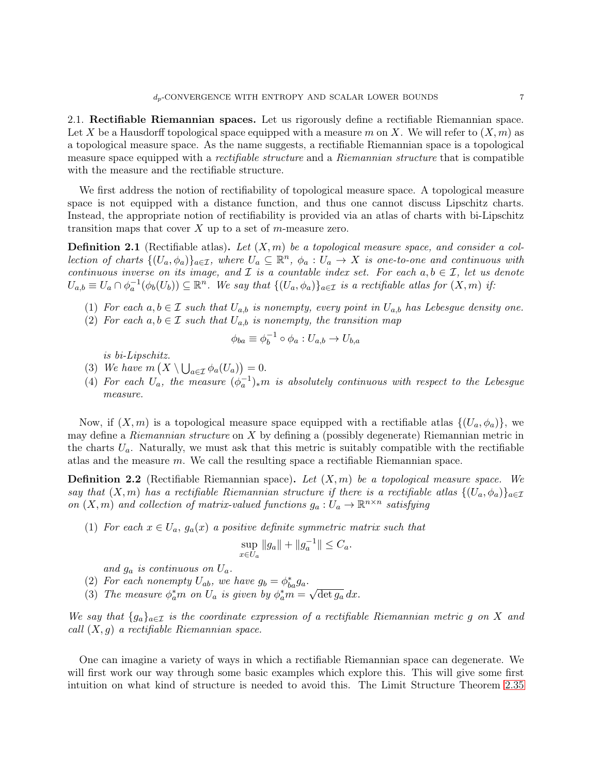<span id="page-6-1"></span>2.1. Rectifiable Riemannian spaces. Let us rigorously define a rectifiable Riemannian space. Let X be a Hausdorff topological space equipped with a measure m on X. We will refer to  $(X, m)$  as a topological measure space. As the name suggests, a rectifiable Riemannian space is a topological measure space equipped with a *rectifiable structure* and a *Riemannian structure* that is compatible with the measure and the rectifiable structure.

We first address the notion of rectifiability of topological measure space. A topological measure space is not equipped with a distance function, and thus one cannot discuss Lipschitz charts. Instead, the appropriate notion of rectifiability is provided via an atlas of charts with bi-Lipschitz transition maps that cover  $X$  up to a set of m-measure zero.

**Definition 2.1** (Rectifiable atlas). Let  $(X, m)$  be a topological measure space, and consider a collection of charts  $\{(U_a,\phi_a)\}_{a\in\mathcal{I}}$ , where  $U_a\subseteq\mathbb{R}^n$ ,  $\phi_a:U_a\to X$  is one-to-one and continuous with continuous inverse on its image, and  $\mathcal I$  is a countable index set. For each  $a, b \in \mathcal I$ , let us denote  $U_{a,b} \equiv U_a \cap \phi_a^{-1}(\phi_b(U_b)) \subseteq \mathbb{R}^n$ . We say that  $\{(U_a, \phi_a)\}_{a \in \mathcal{I}}$  is a rectifiable atlas for  $(X, m)$  if:

- (1) For each  $a, b \in \mathcal{I}$  such that  $U_{a,b}$  is nonempty, every point in  $U_{a,b}$  has Lebesgue density one.
- (2) For each  $a, b \in \mathcal{I}$  such that  $U_{a,b}$  is nonempty, the transition map

$$
\phi_{ba} \equiv \phi_b^{-1} \circ \phi_a : U_{a,b} \to U_{b,a}
$$

is bi-Lipschitz.

- (3) We have  $m\left(X \setminus \bigcup_{a \in \mathcal{I}} \phi_a(U_a)\right) = 0.$
- (4) For each  $U_a$ , the measure  $(\phi_a^{-1})_*m$  is absolutely continuous with respect to the Lebesgue measure.

Now, if  $(X, m)$  is a topological measure space equipped with a rectifiable atlas  $\{(U_a, \phi_a)\}\)$ , we may define a Riemannian structure on X by defining a (possibly degenerate) Riemannian metric in the charts  $U_a$ . Naturally, we must ask that this metric is suitably compatible with the rectifiable atlas and the measure m. We call the resulting space a rectifiable Riemannian space.

<span id="page-6-0"></span>**Definition 2.2** (Rectifiable Riemannian space). Let  $(X, m)$  be a topological measure space. We say that  $(X, m)$  has a rectifiable Riemannian structure if there is a rectifiable atlas  $\{(U_a, \phi_a)\}_{a \in \mathcal{I}}$ on  $(X, m)$  and collection of matrix-valued functions  $g_a: U_a \to \mathbb{R}^{n \times n}$  satisfying

(1) For each  $x \in U_a$ ,  $g_a(x)$  a positive definite symmetric matrix such that

$$
\sup_{x \in U_a} \|g_a\| + \|g_a^{-1}\| \le C_a.
$$

and  $g_a$  is continuous on  $U_a$ .

(2) For each nonempty  $U_{ab}$ , we have  $g_b = \phi_{ba}^* g_a$ . √

(3) The measure  $\phi_a^*m$  on  $U_a$  is given by  $\phi_a^*m =$  $\overline{\det g_a} dx$ .

We say that  $\{g_a\}_{a\in\mathcal{I}}$  is the coordinate expression of a rectifiable Riemannian metric g on X and call  $(X, g)$  a rectifiable Riemannian space.

One can imagine a variety of ways in which a rectifiable Riemannian space can degenerate. We will first work our way through some basic examples which explore this. This will give some first intuition on what kind of structure is needed to avoid this. The Limit Structure Theorem [2.35](#page-15-2)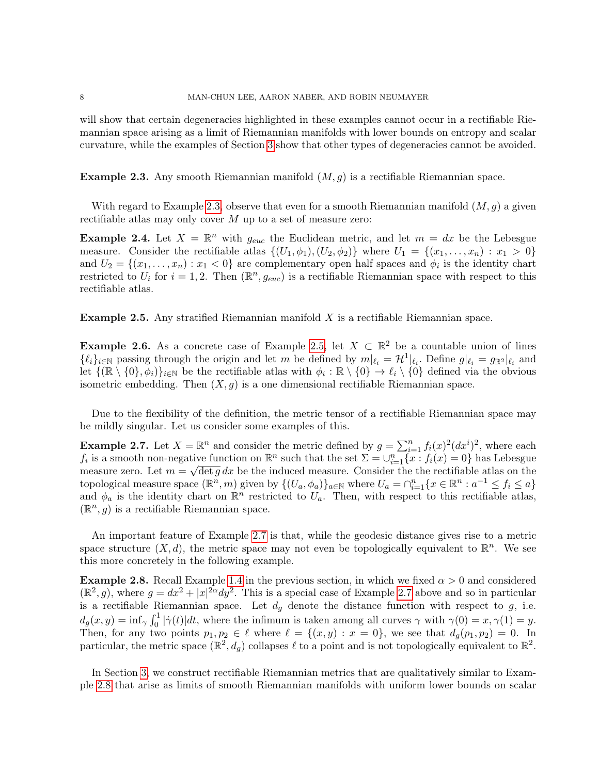will show that certain degeneracies highlighted in these examples cannot occur in a rectifiable Riemannian space arising as a limit of Riemannian manifolds with lower bounds on entropy and scalar curvature, while the examples of Section [3](#page-15-0) show that other types of degeneracies cannot be avoided.

<span id="page-7-0"></span>**Example 2.3.** Any smooth Riemannian manifold  $(M, g)$  is a rectifiable Riemannian space.

With regard to Example [2.3,](#page-7-0) observe that even for a smooth Riemannian manifold  $(M, g)$  a given rectifiable atlas may only cover  $M$  up to a set of measure zero:

<span id="page-7-4"></span>**Example 2.4.** Let  $X = \mathbb{R}^n$  with  $g_{euc}$  the Euclidean metric, and let  $m = dx$  be the Lebesgue measure. Consider the rectifiable atlas  $\{(U_1, \phi_1), (U_2, \phi_2)\}\$  where  $U_1 = \{(x_1, \ldots, x_n) : x_1 > 0\}\$ and  $U_2 = \{(x_1, \ldots, x_n) : x_1 < 0\}$  are complementary open half spaces and  $\phi_i$  is the identity chart restricted to  $U_i$  for  $i = 1, 2$ . Then  $(\mathbb{R}^n, g_{euc})$  is a rectifiable Riemannian space with respect to this rectifiable atlas.

<span id="page-7-1"></span>**Example 2.5.** Any stratified Riemannian manifold  $X$  is a rectifiable Riemannian space.

<span id="page-7-5"></span>**Example 2.6.** As a concrete case of Example [2.5,](#page-7-1) let  $X \subset \mathbb{R}^2$  be a countable union of lines  $\{\ell_i\}_{i\in\mathbb{N}}$  passing through the origin and let m be defined by  $m|_{\ell_i} = \mathcal{H}^1|_{\ell_i}$ . Define  $g|_{\ell_i} = g_{\mathbb{R}^2}|_{\ell_i}$  and let  $\{(\mathbb{R} \setminus \{0\}, \phi_i)\}_{i \in \mathbb{N}}$  be the rectifiable atlas with  $\phi_i : \mathbb{R} \setminus \{0\} \to \ell_i \setminus \{0\}$  defined via the obvious isometric embedding. Then  $(X, g)$  is a one dimensional rectifiable Riemannian space.

Due to the flexibility of the definition, the metric tensor of a rectifiable Riemannian space may be mildly singular. Let us consider some examples of this.

<span id="page-7-2"></span>**Example 2.7.** Let  $X = \mathbb{R}^n$  and consider the metric defined by  $g = \sum_{i=1}^n f_i(x)^2 (dx^i)^2$ , where each  $f_i$  is a smooth non-negative function on  $\mathbb{R}^n$  such that the set  $\Sigma = \bigcup_{i=1}^n \{x : f_i(x) = 0\}$  has Lebesgue measure zero. Let  $m = \sqrt{\det g} dx$  be the induced measure. Consider the the rectifiable atlas on the topological measure space  $(\mathbb{R}^n, m)$  given by  $\{(U_a, \phi_a)\}_{a \in \mathbb{N}}$  where  $U_a = \cap_{i=1}^n \{x \in \mathbb{R}^n : a^{-1} \le f_i \le a\}$ and  $\phi_a$  is the identity chart on  $\mathbb{R}^n$  restricted to  $U_a$ . Then, with respect to this rectifiable atlas,  $(\mathbb{R}^n, g)$  is a rectifiable Riemannian space.

An important feature of Example [2.7](#page-7-2) is that, while the geodesic distance gives rise to a metric space structure  $(X, d)$ , the metric space may not even be topologically equivalent to  $\mathbb{R}^n$ . We see this more concretely in the following example.

<span id="page-7-3"></span>**Example 2.8.** Recall Example [1.4](#page-3-0) in the previous section, in which we fixed  $\alpha > 0$  and considered  $(\mathbb{R}^2, g)$ , where  $g = dx^2 + |x|^{2\alpha} dy^2$ . This is a special case of Example [2.7](#page-7-2) above and so in particular is a rectifiable Riemannian space. Let  $d_g$  denote the distance function with respect to  $g$ , i.e.  $d_g(x, y) = \inf_{\gamma} \int_0^1 |\dot{\gamma}(t)| dt$ , where the infimum is taken among all curves  $\gamma$  with  $\gamma(0) = x, \gamma(1) = y$ . Then, for any two points  $p_1, p_2 \in \ell$  where  $\ell = \{(x, y) : x = 0\}$ , we see that  $d_g(p_1, p_2) = 0$ . In particular, the metric space  $(\mathbb{R}^2, d_g)$  collapses  $\ell$  to a point and is not topologically equivalent to  $\mathbb{R}^2$ .

In Section [3,](#page-15-0) we construct rectifiable Riemannian metrics that are qualitatively similar to Example [2.8](#page-7-3) that arise as limits of smooth Riemannian manifolds with uniform lower bounds on scalar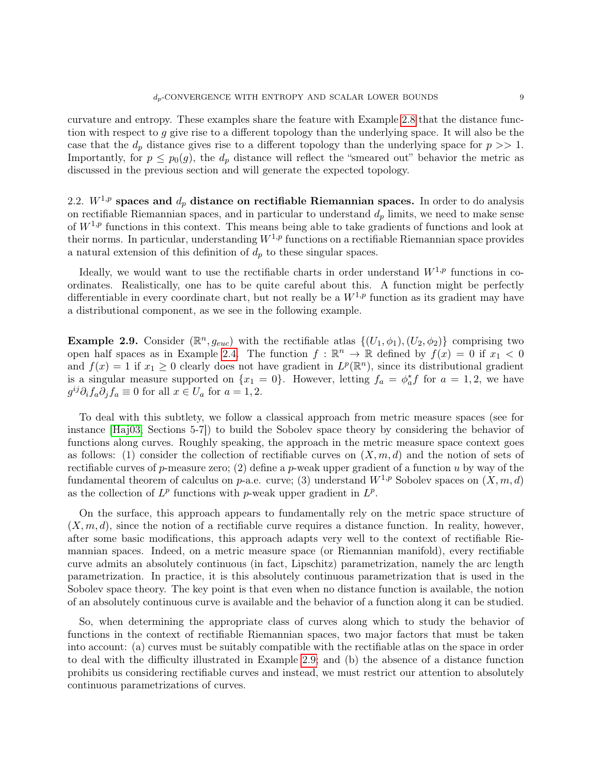curvature and entropy. These examples share the feature with Example [2.8](#page-7-3) that the distance function with respect to g give rise to a different topology than the underlying space. It will also be the case that the  $d_p$  distance gives rise to a different topology than the underlying space for  $p \gg 1$ . Importantly, for  $p \leq p_0(g)$ , the  $d_p$  distance will reflect the "smeared out" behavior the metric as discussed in the previous section and will generate the expected topology.

<span id="page-8-0"></span>2.2.  $W^{1,p}$  spaces and  $d_p$  distance on rectifiable Riemannian spaces. In order to do analysis on rectifiable Riemannian spaces, and in particular to understand  $d_p$  limits, we need to make sense of  $W^{1,p}$  functions in this context. This means being able to take gradients of functions and look at their norms. In particular, understanding  $W^{1,p}$  functions on a rectifiable Riemannian space provides a natural extension of this definition of  $d_p$  to these singular spaces.

Ideally, we would want to use the rectifiable charts in order understand  $W^{1,p}$  functions in coordinates. Realistically, one has to be quite careful about this. A function might be perfectly differentiable in every coordinate chart, but not really be a  $W^{1,p}$  function as its gradient may have a distributional component, as we see in the following example.

<span id="page-8-1"></span>**Example 2.9.** Consider  $(\mathbb{R}^n, g_{euc})$  with the rectifiable atlas  $\{(U_1, \phi_1), (U_2, \phi_2)\}\)$  comprising two open half spaces as in Example [2.4.](#page-7-4) The function  $f : \mathbb{R}^n \to \mathbb{R}$  defined by  $f(x) = 0$  if  $x_1 < 0$ and  $f(x) = 1$  if  $x_1 \geq 0$  clearly does not have gradient in  $L^p(\mathbb{R}^n)$ , since its distributional gradient is a singular measure supported on  $\{x_1 = 0\}$ . However, letting  $f_a = \phi_a^* f$  for  $a = 1, 2$ , we have  $g^{ij}\partial_i f_a \partial_j f_a \equiv 0$  for all  $x \in U_a$  for  $a = 1, 2$ .

To deal with this subtlety, we follow a classical approach from metric measure spaces (see for instance [\[Haj03,](#page-21-14) Sections 5-7]) to build the Sobolev space theory by considering the behavior of functions along curves. Roughly speaking, the approach in the metric measure space context goes as follows: (1) consider the collection of rectifiable curves on  $(X, m, d)$  and the notion of sets of rectifiable curves of p-measure zero; (2) define a p-weak upper gradient of a function u by way of the fundamental theorem of calculus on p-a.e. curve; (3) understand  $W^{1,p}$  Sobolev spaces on  $(X, m, d)$ as the collection of  $L^p$  functions with p-weak upper gradient in  $L^p$ .

On the surface, this approach appears to fundamentally rely on the metric space structure of  $(X, m, d)$ , since the notion of a rectifiable curve requires a distance function. In reality, however, after some basic modifications, this approach adapts very well to the context of rectifiable Riemannian spaces. Indeed, on a metric measure space (or Riemannian manifold), every rectifiable curve admits an absolutely continuous (in fact, Lipschitz) parametrization, namely the arc length parametrization. In practice, it is this absolutely continuous parametrization that is used in the Sobolev space theory. The key point is that even when no distance function is available, the notion of an absolutely continuous curve is available and the behavior of a function along it can be studied.

So, when determining the appropriate class of curves along which to study the behavior of functions in the context of rectifiable Riemannian spaces, two major factors that must be taken into account: (a) curves must be suitably compatible with the rectifiable atlas on the space in order to deal with the difficulty illustrated in Example [2.9;](#page-8-1) and (b) the absence of a distance function prohibits us considering rectifiable curves and instead, we must restrict our attention to absolutely continuous parametrizations of curves.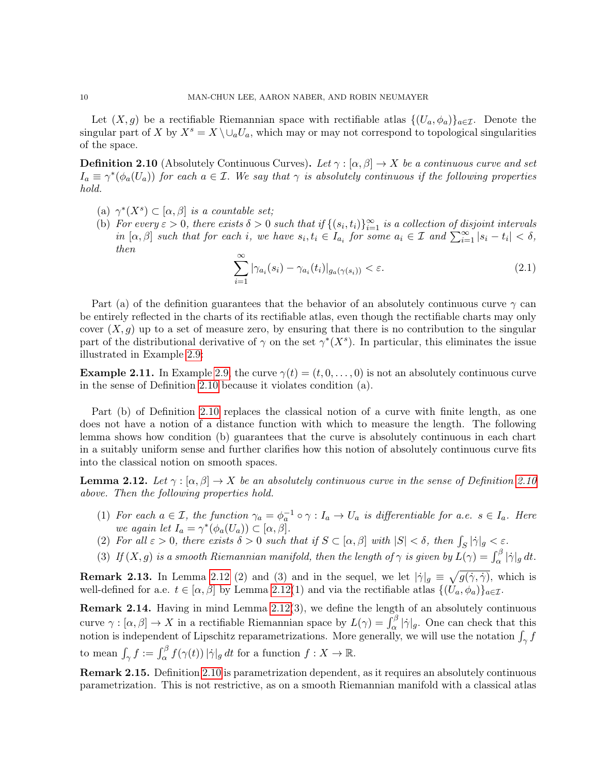Let  $(X, g)$  be a rectifiable Riemannian space with rectifiable atlas  $\{(U_a, \phi_a)\}_{a \in \mathcal{I}}$ . Denote the singular part of X by  $X^s = X \setminus \cup_a U_a$ , which may or may not correspond to topological singularities of the space.

<span id="page-9-0"></span>**Definition 2.10** (Absolutely Continuous Curves). Let  $\gamma : [\alpha, \beta] \to X$  be a continuous curve and set  $I_a \equiv \gamma^*(\phi_a(U_a))$  for each  $a \in \mathcal{I}$ . We say that  $\gamma$  is absolutely continuous if the following properties hold.

- (a)  $\gamma^*(X^s) \subset [\alpha, \beta]$  is a countable set;
- (b) For every  $\varepsilon > 0$ , there exists  $\delta > 0$  such that if  $\{(s_i, t_i)\}_{i=1}^{\infty}$  is a collection of disjoint intervals in  $[\alpha, \beta]$  such that for each i, we have  $s_i, t_i \in I_{a_i}$  for some  $a_i \in \mathcal{I}$  and  $\sum_{i=1}^{\infty} |s_i - t_i| < \delta$ , then

$$
\sum_{i=1}^{\infty} |\gamma_{a_i}(s_i) - \gamma_{a_i}(t_i)|_{g_a(\gamma(s_i))} < \varepsilon.
$$
\n(2.1)

Part (a) of the definition guarantees that the behavior of an absolutely continuous curve  $\gamma$  can be entirely reflected in the charts of its rectifiable atlas, even though the rectifiable charts may only cover  $(X, q)$  up to a set of measure zero, by ensuring that there is no contribution to the singular part of the distributional derivative of  $\gamma$  on the set  $\gamma^*(X^s)$ . In particular, this eliminates the issue illustrated in Example [2.9:](#page-8-1)

**Example 2.11.** In Example [2.9,](#page-8-1) the curve  $\gamma(t) = (t, 0, \ldots, 0)$  is not an absolutely continuous curve in the sense of Definition [2.10](#page-9-0) because it violates condition (a).

Part (b) of Definition [2.10](#page-9-0) replaces the classical notion of a curve with finite length, as one does not have a notion of a distance function with which to measure the length. The following lemma shows how condition (b) guarantees that the curve is absolutely continuous in each chart in a suitably uniform sense and further clarifies how this notion of absolutely continuous curve fits into the classical notion on smooth spaces.

<span id="page-9-1"></span>**Lemma 2.12.** Let  $\gamma : [\alpha, \beta] \to X$  be an absolutely continuous curve in the sense of Definition [2.10](#page-9-0) above. Then the following properties hold.

- (1) For each  $a \in \mathcal{I}$ , the function  $\gamma_a = \phi_a^{-1} \circ \gamma : I_a \to U_a$  is differentiable for a.e.  $s \in I_a$ . Here we again let  $I_a = \gamma^*(\phi_a(U_a)) \subset [\alpha, \beta].$
- (2) For all  $\varepsilon > 0$ , there exists  $\delta > 0$  such that if  $S \subset [\alpha, \beta]$  with  $|S| < \delta$ , then  $\int_S |\dot{\gamma}|_g < \varepsilon$ .
- (3) If  $(X, g)$  is a smooth Riemannian manifold, then the length of  $\gamma$  is given by  $L(\gamma) = \int_{\alpha}^{\beta} |\dot{\gamma}|_g dt$ .

**Remark 2.13.** In Lemma [2.12](#page-9-1) (2) and (3) and in the sequel, we let  $|\dot{\gamma}|_g \equiv \sqrt{g(\dot{\gamma}, \dot{\gamma})}$ , which is well-defined for a.e.  $t \in [\alpha, \beta]$  by Lemma [2.12\(](#page-9-1)1) and via the rectifiable atlas  $\{(U_a, \phi_a)\}_{a \in \mathcal{I}}$ .

Remark 2.14. Having in mind Lemma [2.12\(](#page-9-1)3), we define the length of an absolutely continuous curve  $\gamma : [\alpha, \beta] \to X$  in a rectifiable Riemannian space by  $L(\gamma) = \int_{\alpha}^{\beta} |\dot{\gamma}|_g$ . One can check that this notion is independent of Lipschitz reparametrizations. More generally, we will use the notation  $\int_{\gamma} f$ to mean  $\int_{\gamma} f := \int_{\alpha}^{\beta} f(\gamma(t)) |\dot{\gamma}|_g dt$  for a function  $f : X \to \mathbb{R}$ .

Remark 2.15. Definition [2.10](#page-9-0) is parametrization dependent, as it requires an absolutely continuous parametrization. This is not restrictive, as on a smooth Riemannian manifold with a classical atlas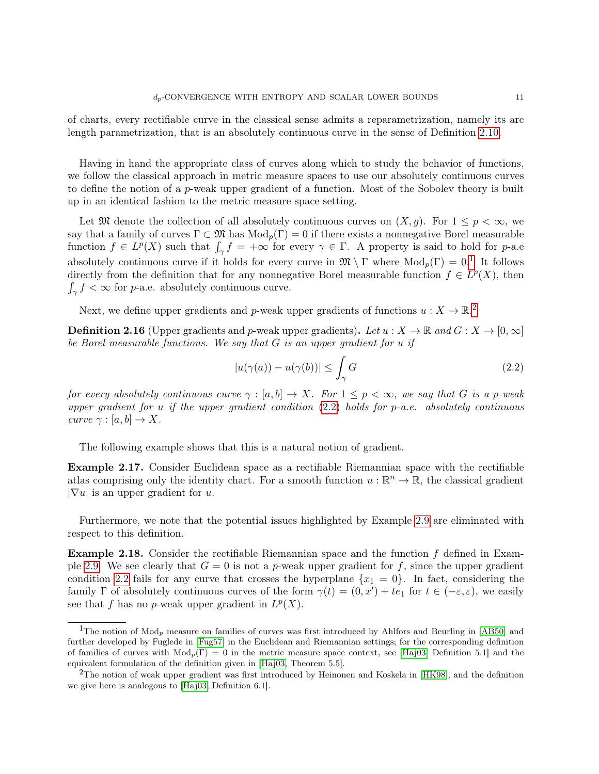of charts, every rectifiable curve in the classical sense admits a reparametrization, namely its arc length parametrization, that is an absolutely continuous curve in the sense of Definition [2.10.](#page-9-0)

Having in hand the appropriate class of curves along which to study the behavior of functions, we follow the classical approach in metric measure spaces to use our absolutely continuous curves to define the notion of a p-weak upper gradient of a function. Most of the Sobolev theory is built up in an identical fashion to the metric measure space setting.

Let M denote the collection of all absolutely continuous curves on  $(X, g)$ . For  $1 \leq p < \infty$ , we say that a family of curves  $\Gamma \subset \mathfrak{M}$  has  $Mod_p(\Gamma) = 0$  if there exists a nonnegative Borel measurable function  $f \in L^p(X)$  such that  $\int_{\gamma} f = +\infty$  for every  $\gamma \in \Gamma$ . A property is said to hold for p-a.e absolutely continuous curve if it holds for every curve in  $\mathfrak{M} \setminus \Gamma$  where  $\text{Mod}_p(\Gamma) = 0$ .<sup>[1](#page-10-0)</sup> It follows directly from the definition that for any nonnegative Borel measurable function  $f \in L^p(X)$ , then  $\int_{\gamma} f < \infty$  for *p*-a.e. absolutely continuous curve.

Next, we define upper gradients and p-weak upper gradients of functions  $u: X \to \mathbb{R}^2$  $u: X \to \mathbb{R}^2$ .

**Definition 2.16** (Upper gradients and p-weak upper gradients). Let  $u : X \to \mathbb{R}$  and  $G : X \to [0, \infty]$ be Borel measurable functions. We say that  $G$  is an upper gradient for  $u$  if

<span id="page-10-2"></span>
$$
|u(\gamma(a)) - u(\gamma(b))| \le \int_{\gamma} G \tag{2.2}
$$

for every absolutely continuous curve  $\gamma : [a, b] \to X$ . For  $1 \leq p \leq \infty$ , we say that G is a p-weak upper gradient for u if the upper gradient condition  $(2.2)$  holds for p-a.e. absolutely continuous curve  $\gamma : [a, b] \to X$ .

The following example shows that this is a natural notion of gradient.

Example 2.17. Consider Euclidean space as a rectifiable Riemannian space with the rectifiable atlas comprising only the identity chart. For a smooth function  $u : \mathbb{R}^n \to \mathbb{R}$ , the classical gradient  $|\nabla u|$  is an upper gradient for u.

Furthermore, we note that the potential issues highlighted by Example [2.9](#page-8-1) are eliminated with respect to this definition.

**Example 2.18.** Consider the rectifiable Riemannian space and the function  $f$  defined in Exam-ple [2.9.](#page-8-1) We see clearly that  $G = 0$  is not a p-weak upper gradient for f, since the upper gradient condition [2.2](#page-10-2) fails for any curve that crosses the hyperplane  $\{x_1 = 0\}$ . In fact, considering the family  $\Gamma$  of absolutely continuous curves of the form  $\gamma(t) = (0, x') + te_1$  for  $t \in (-\varepsilon, \varepsilon)$ , we easily see that f has no p-weak upper gradient in  $L^p(X)$ .

<span id="page-10-0"></span><sup>&</sup>lt;sup>1</sup>The notion of  $Mod_p$  measure on families of curves was first introduced by Ahlfors and Beurling in [\[AB50\]](#page-21-15) and further developed by Fuglede in [\[Fug57\]](#page-21-16) in the Euclidean and Riemannian settings; for the corresponding definition of families of curves with  $Mod_p(\Gamma) = 0$  in the metric measure space context, see [\[Haj03,](#page-21-14) Definition 5.1] and the equivalent formulation of the definition given in [\[Haj03,](#page-21-14) Theorem 5.5].

<span id="page-10-1"></span> $2$ The notion of weak upper gradient was first introduced by Heinonen and Koskela in [\[HK98\]](#page-21-17), and the definition we give here is analogous to [\[Haj03,](#page-21-14) Definition 6.1].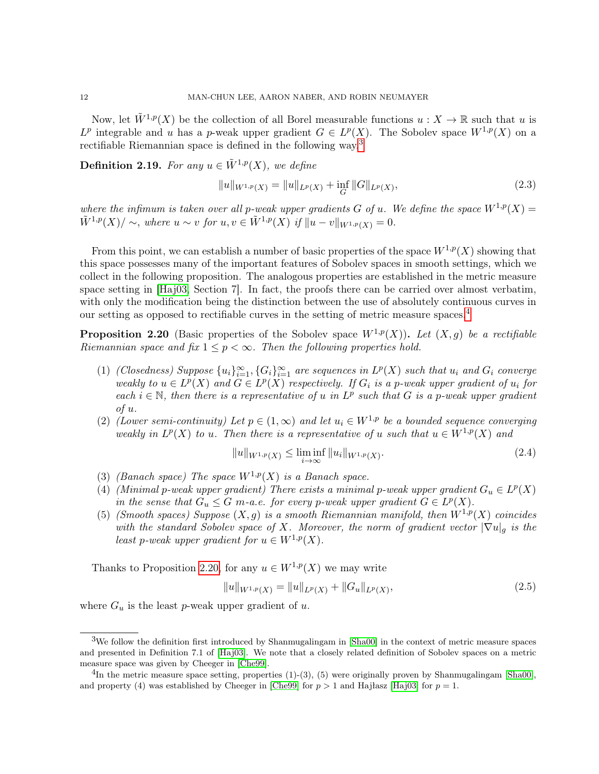Now, let  $\tilde{W}^{1,p}(X)$  be the collection of all Borel measurable functions  $u : X \to \mathbb{R}$  such that u is  $L^p$  integrable and u has a p-weak upper gradient  $G \in L^p(X)$ . The Sobolev space  $W^{1,p}(X)$  on a rectifiable Riemannian space is defined in the following way.<sup>[3](#page-11-0)</sup>

**Definition 2.19.** For any  $u \in \tilde{W}^{1,p}(X)$ , we define

$$
||u||_{W^{1,p}(X)} = ||u||_{L^p(X)} + \inf_{G} ||G||_{L^p(X)},
$$
\n(2.3)

where the infimum is taken over all p-weak upper gradients G of u. We define the space  $W^{1,p}(X) =$  $\tilde{W}^{1,p}(X)/\sim$ , where  $u\sim v$  for  $u, v \in \tilde{W}^{1,p}(X)$  if  $||u-v||_{W^{1,p}(X)}=0$ .

From this point, we can establish a number of basic properties of the space  $W^{1,p}(X)$  showing that this space possesses many of the important features of Sobolev spaces in smooth settings, which we collect in the following proposition. The analogous properties are established in the metric measure space setting in [\[Haj03,](#page-21-14) Section 7]. In fact, the proofs there can be carried over almost verbatim, with only the modification being the distinction between the use of absolutely continuous curves in our setting as opposed to rectifiable curves in the setting of metric measure spaces. $4$ 

<span id="page-11-2"></span>**Proposition 2.20** (Basic properties of the Sobolev space  $W^{1,p}(X)$ ). Let  $(X, q)$  be a rectifiable Riemannian space and fix  $1 \leq p < \infty$ . Then the following properties hold.

- (1) (Closedness) Suppose  $\{u_i\}_{i=1}^{\infty}, \{G_i\}_{i=1}^{\infty}$  are sequences in  $L^p(X)$  such that  $u_i$  and  $G_i$  converge weakly to  $u \in L^p(X)$  and  $G \in L^p(X)$  respectively. If  $G_i$  is a p-weak upper gradient of  $u_i$  for each  $i \in \mathbb{N}$ , then there is a representative of u in  $L^p$  such that G is a p-weak upper gradient of u.
- (2) (Lower semi-continuity) Let  $p \in (1,\infty)$  and let  $u_i \in W^{1,p}$  be a bounded sequence converging weakly in  $L^p(X)$  to u. Then there is a representative of u such that  $u \in W^{1,p}(X)$  and

$$
||u||_{W^{1,p}(X)} \le \liminf_{i \to \infty} ||u_i||_{W^{1,p}(X)}.
$$
\n(2.4)

- (3) (Banach space) The space  $W^{1,p}(X)$  is a Banach space.
- (4) (Minimal p-weak upper gradient) There exists a minimal p-weak upper gradient  $G_u \in L^p(X)$ in the sense that  $G_u \leq G$  m-a.e. for every p-weak upper gradient  $G \in L^p(X)$ .
- (5) (Smooth spaces) Suppose  $(X, g)$  is a smooth Riemannian manifold, then  $W^{1,p}(X)$  coincides with the standard Sobolev space of X. Moreover, the norm of gradient vector  $|\nabla u|_{q}$  is the least p-weak upper gradient for  $u \in W^{1,p}(X)$ .

Thanks to Proposition [2.20,](#page-11-2) for any  $u \in W^{1,p}(X)$  we may write

$$
||u||_{W^{1,p}(X)} = ||u||_{L^p(X)} + ||G_u||_{L^p(X)},
$$
\n(2.5)

where  $G_u$  is the least p-weak upper gradient of u.

<span id="page-11-0"></span><sup>3</sup>We follow the definition first introduced by Shanmugalingam in [\[Sha00\]](#page-21-18) in the context of metric measure spaces and presented in Definition 7.1 of [\[Haj03\]](#page-21-14). We note that a closely related definition of Sobolev spaces on a metric measure space was given by Cheeger in [\[Che99\]](#page-21-19).

<span id="page-11-1"></span> ${}^{4}$ In the metric measure space setting, properties (1)-(3), (5) were originally proven by Shanmugalingam [\[Sha00\]](#page-21-18), and property (4) was established by Cheeger in [\[Che99\]](#page-21-19) for  $p > 1$  and Hajłasz [\[Haj03\]](#page-21-14) for  $p = 1$ .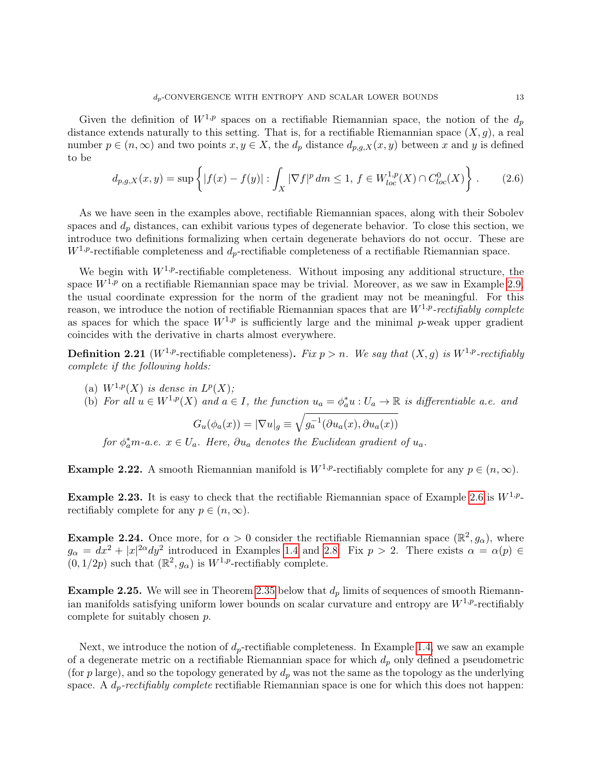Given the definition of  $W^{1,p}$  spaces on a rectifiable Riemannian space, the notion of the  $d_p$ distance extends naturally to this setting. That is, for a rectifiable Riemannian space  $(X, g)$ , a real number  $p \in (n, \infty)$  and two points  $x, y \in X$ , the  $d_p$  distance  $d_{p,q,X}(x, y)$  between x and y is defined to be

$$
d_{p,g,X}(x,y) = \sup \left\{ |f(x) - f(y)| : \int_X |\nabla f|^p \, dm \le 1, \, f \in W_{loc}^{1,p}(X) \cap C_{loc}^0(X) \right\} \, . \tag{2.6}
$$

As we have seen in the examples above, rectifiable Riemannian spaces, along with their Sobolev spaces and  $d_p$  distances, can exhibit various types of degenerate behavior. To close this section, we introduce two definitions formalizing when certain degenerate behaviors do not occur. These are  $W^{1,p}$ -rectifiable completeness and  $d_p$ -rectifiable completeness of a rectifiable Riemannian space.

We begin with  $W^{1,p}$ -rectifiable completeness. Without imposing any additional structure, the space  $W^{1,p}$  on a rectifiable Riemannian space may be trivial. Moreover, as we saw in Example [2.9,](#page-8-1) the usual coordinate expression for the norm of the gradient may not be meaningful. For this reason, we introduce the notion of rectifiable Riemannian spaces that are  $W^{1,p}$ -rectifiably complete as spaces for which the space  $W^{1,p}$  is sufficiently large and the minimal p-weak upper gradient coincides with the derivative in charts almost everywhere.

<span id="page-12-0"></span>**Definition 2.21** ( $W^{1,p}$ -rectifiable completeness). Fix  $p > n$ . We say that  $(X, g)$  is  $W^{1,p}$ -rectifiably complete if the following holds:

- (a)  $W^{1,p}(X)$  is dense in  $L^p(X)$ ;
- (b) For all  $u \in W^{1,p}(X)$  and  $a \in I$ , the function  $u_a = \phi_a^* u : U_a \to \mathbb{R}$  is differentiable a.e. and

$$
G_u(\phi_a(x)) = |\nabla u|_g \equiv \sqrt{g_a^{-1}(\partial u_a(x), \partial u_a(x))}
$$

for  $\phi_a^*$ m-a.e.  $x \in U_a$ . Here,  $\partial u_a$  denotes the Euclidean gradient of  $u_a$ .

**Example 2.22.** A smooth Riemannian manifold is  $W^{1,p}$ -rectifiably complete for any  $p \in (n, \infty)$ .

**Example 2.23.** It is easy to check that the rectifiable Riemannian space of Example [2.6](#page-7-5) is  $W^{1,p}$ . rectifiably complete for any  $p \in (n, \infty)$ .

**Example 2.24.** Once more, for  $\alpha > 0$  consider the rectifiable Riemannian space  $(\mathbb{R}^2, g_{\alpha})$ , where  $g_{\alpha} = dx^2 + |x|^{2\alpha} dy^2$  introduced in Examples [1.4](#page-3-0) and [2.8.](#page-7-3) Fix  $p > 2$ . There exists  $\alpha = \alpha(p) \in$  $(0, 1/2p)$  such that  $(\mathbb{R}^2, g_{\alpha})$  is  $W^{1,p}$ -rectifiably complete.

**Example 2.25.** We will see in Theorem [2.35](#page-15-2) below that  $d_p$  limits of sequences of smooth Riemannian manifolds satisfying uniform lower bounds on scalar curvature and entropy are  $W^{1,p}$ -rectifiably complete for suitably chosen p.

Next, we introduce the notion of  $d_p$ -rectifiable completeness. In Example [1.4,](#page-3-0) we saw an example of a degenerate metric on a rectifiable Riemannian space for which  $d_p$  only defined a pseudometric (for p large), and so the topology generated by  $d_p$  was not the same as the topology as the underlying space. A  $d_p$ -rectifiably complete rectifiable Riemannian space is one for which this does not happen: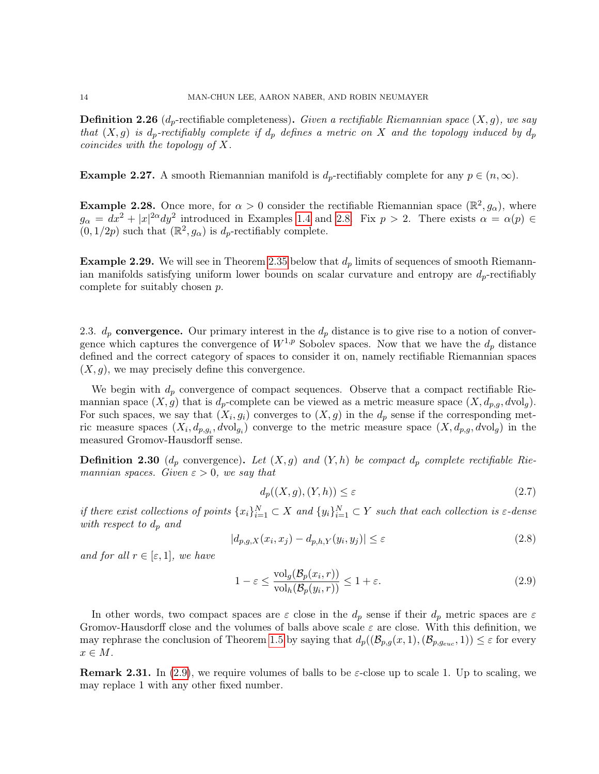<span id="page-13-1"></span>**Definition 2.26** ( $d_p$ -rectifiable completeness). Given a rectifiable Riemannian space  $(X, q)$ , we say that  $(X, g)$  is  $d_p$ -rectifiably complete if  $d_p$  defines a metric on X and the topology induced by  $d_p$ coincides with the topology of X.

**Example 2.27.** A smooth Riemannian manifold is  $d_p$ -rectifiably complete for any  $p \in (n, \infty)$ .

**Example 2.28.** Once more, for  $\alpha > 0$  consider the rectifiable Riemannian space  $(\mathbb{R}^2, g_{\alpha})$ , where  $g_{\alpha} = dx^2 + |x|^{2\alpha} dy^2$  introduced in Examples [1.4](#page-3-0) and [2.8.](#page-7-3) Fix  $p > 2$ . There exists  $\alpha = \alpha(p) \in$  $(0, 1/2p)$  such that  $(\mathbb{R}^2, g_{\alpha})$  is  $d_p$ -rectifiably complete.

**Example 2.29.** We will see in Theorem [2.35](#page-15-2) below that  $d_p$  limits of sequences of smooth Riemannian manifolds satisfying uniform lower bounds on scalar curvature and entropy are  $d_p$ -rectifiably complete for suitably chosen p.

2.3.  $d_p$  convergence. Our primary interest in the  $d_p$  distance is to give rise to a notion of convergence which captures the convergence of  $W^{1,p}$  Sobolev spaces. Now that we have the  $d_p$  distance defined and the correct category of spaces to consider it on, namely rectifiable Riemannian spaces  $(X, g)$ , we may precisely define this convergence.

We begin with  $d_p$  convergence of compact sequences. Observe that a compact rectifiable Riemannian space  $(X, g)$  that is  $d_p$ -complete can be viewed as a metric measure space  $(X, d_{p,q}, d \text{vol}_g)$ . For such spaces, we say that  $(X_i, g_i)$  converges to  $(X, g)$  in the  $d_p$  sense if the corresponding metric measure spaces  $(X_i, d_{p,g_i}, d \text{vol}_{g_i})$  converge to the metric measure space  $(X, d_{p,g}, d \text{vol}_g)$  in the measured Gromov-Hausdorff sense.

**Definition 2.30** ( $d_p$  convergence). Let  $(X, g)$  and  $(Y, h)$  be compact  $d_p$  complete rectifiable Riemannian spaces. Given  $\varepsilon > 0$ , we say that

$$
d_p((X, g), (Y, h)) \le \varepsilon \tag{2.7}
$$

if there exist collections of points  $\{x_i\}_{i=1}^N \subset X$  and  $\{y_i\}_{i=1}^N \subset Y$  such that each collection is  $\varepsilon$ -dense with respect to  $d_p$  and

$$
|d_{p,g,X}(x_i, x_j) - d_{p,h,Y}(y_i, y_j)| \le \varepsilon \tag{2.8}
$$

and for all  $r \in [\varepsilon, 1]$ , we have

<span id="page-13-0"></span>
$$
1 - \varepsilon \le \frac{\text{vol}_g(\mathcal{B}_p(x_i, r))}{\text{vol}_h(\mathcal{B}_p(y_i, r))} \le 1 + \varepsilon. \tag{2.9}
$$

In other words, two compact spaces are  $\varepsilon$  close in the  $d_p$  sense if their  $d_p$  metric spaces are  $\varepsilon$ Gromov-Hausdorff close and the volumes of balls above scale  $\varepsilon$  are close. With this definition, we may rephrase the conclusion of Theorem [1.5](#page-4-0) by saying that  $d_p((\mathcal{B}_{p,g}(x,1),(\mathcal{B}_{p,g_{euc}},1)) \leq \varepsilon$  for every  $x \in M$ .

**Remark 2.31.** In [\(2.9\)](#page-13-0), we require volumes of balls to be  $\varepsilon$ -close up to scale 1. Up to scaling, we may replace 1 with any other fixed number.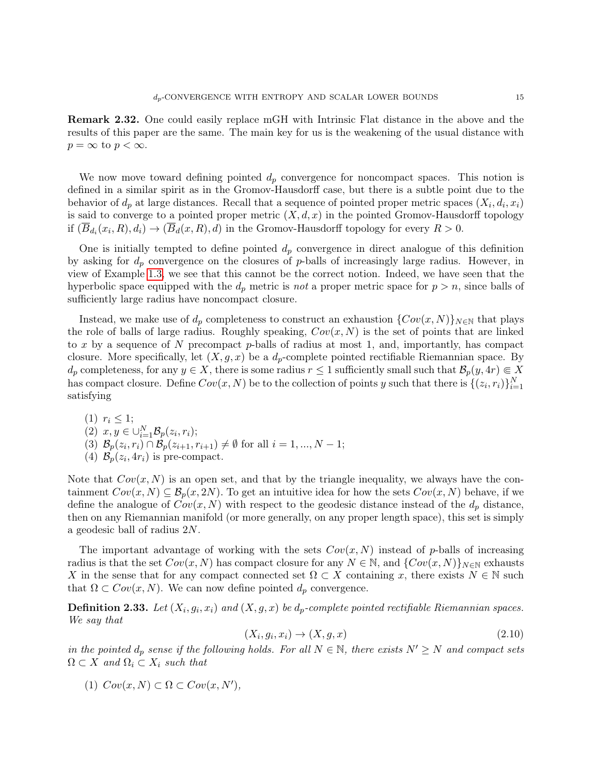Remark 2.32. One could easily replace mGH with Intrinsic Flat distance in the above and the results of this paper are the same. The main key for us is the weakening of the usual distance with  $p = \infty$  to  $p < \infty$ .

We now move toward defining pointed  $d_p$  convergence for noncompact spaces. This notion is defined in a similar spirit as in the Gromov-Hausdorff case, but there is a subtle point due to the behavior of  $d_p$  at large distances. Recall that a sequence of pointed proper metric spaces  $(X_i, d_i, x_i)$ is said to converge to a pointed proper metric  $(X, d, x)$  in the pointed Gromov-Hausdorff topology if  $(\overline{B}_{d_i}(x_i, R), d_i) \to (\overline{B}_d(x, R), d)$  in the Gromov-Hausdorff topology for every  $R > 0$ .

One is initially tempted to define pointed  $d_p$  convergence in direct analogue of this definition by asking for  $d_p$  convergence on the closures of p-balls of increasingly large radius. However, in view of Example [1.3,](#page-3-1) we see that this cannot be the correct notion. Indeed, we have seen that the hyperbolic space equipped with the  $d_p$  metric is not a proper metric space for  $p > n$ , since balls of sufficiently large radius have noncompact closure.

Instead, we make use of  $d_p$  completeness to construct an exhaustion  $\{Cov(x, N)\}_{N\in\mathbb{N}}$  that plays the role of balls of large radius. Roughly speaking,  $Cov(x, N)$  is the set of points that are linked to x by a sequence of N precompact  $p$ -balls of radius at most 1, and, importantly, has compact closure. More specifically, let  $(X, g, x)$  be a  $d_p$ -complete pointed rectifiable Riemannian space. By  $d_p$  completeness, for any  $y \in X$ , there is some radius  $r \leq 1$  sufficiently small such that  $\mathcal{B}_p(y, 4r) \in X$ has compact closure. Define  $Cov(x, N)$  be to the collection of points y such that there is  $\{(z_i, r_i)\}_{i=1}^N$ satisfying

(1)  $r_i \leq 1;$ (2)  $x, y \in \bigcup_{i=1}^{N} \mathcal{B}_p(z_i, r_i);$ (3)  $\mathcal{B}_p(z_i, r_i) \cap \mathcal{B}_p(z_{i+1}, r_{i+1}) \neq \emptyset$  for all  $i = 1, ..., N - 1;$ (4)  $\mathcal{B}_p(z_i, 4r_i)$  is pre-compact.

Note that  $Cov(x, N)$  is an open set, and that by the triangle inequality, we always have the containment  $Cov(x, N) \subseteq \mathcal{B}_p(x, 2N)$ . To get an intuitive idea for how the sets  $Cov(x, N)$  behave, if we define the analogue of  $Cov(x, N)$  with respect to the geodesic distance instead of the  $d_p$  distance, then on any Riemannian manifold (or more generally, on any proper length space), this set is simply a geodesic ball of radius 2N.

The important advantage of working with the sets  $Cov(x, N)$  instead of p-balls of increasing radius is that the set  $Cov(x, N)$  has compact closure for any  $N \in \mathbb{N}$ , and  $\{Cov(x, N)\}_{N \in \mathbb{N}}$  exhausts X in the sense that for any compact connected set  $\Omega \subset X$  containing x, there exists  $N \in \mathbb{N}$  such that  $\Omega \subset Cov(x, N)$ . We can now define pointed  $d_p$  convergence.

<span id="page-14-0"></span>**Definition 2.33.** Let  $(X_i, g_i, x_i)$  and  $(X, g, x)$  be  $d_p$ -complete pointed rectifiable Riemannian spaces. We say that

$$
(X_i, g_i, x_i) \rightarrow (X, g, x) \tag{2.10}
$$

in the pointed  $d_p$  sense if the following holds. For all  $N \in \mathbb{N}$ , there exists  $N' \geq N$  and compact sets  $\Omega \subset X$  and  $\Omega_i \subset X_i$  such that

(1)  $Cov(x, N) \subset \Omega \subset Cov(x, N'),$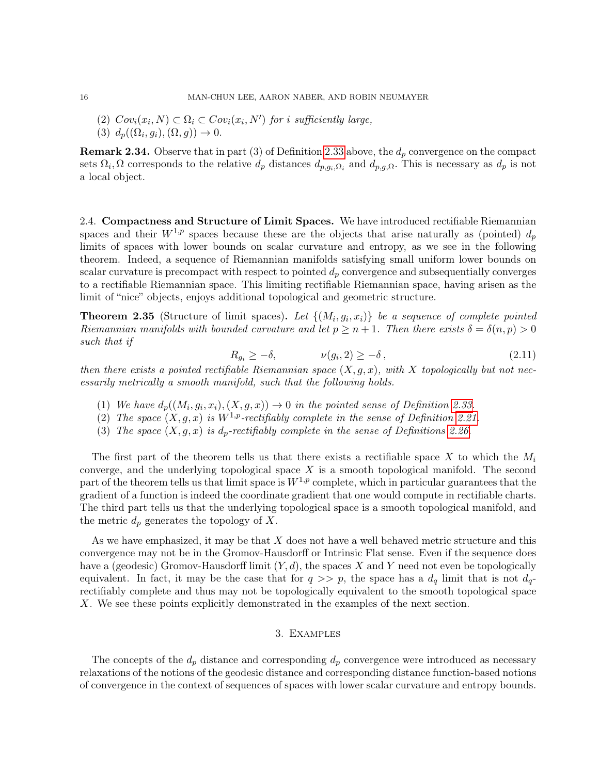- (2)  $Cov_i(x_i, N) \subset \Omega_i \subset Cov_i(x_i, N')$  for i sufficiently large,
- (3)  $d_p((\Omega_i, g_i), (\Omega, g)) \to 0.$

**Remark 2.34.** Observe that in part (3) of Definition [2.33](#page-14-0) above, the  $d_p$  convergence on the compact sets  $\Omega_i, \Omega$  corresponds to the relative  $d_p$  distances  $d_{p,g_i,\Omega_i}$  and  $d_{p,g_i,\Omega_i}$ . This is necessary as  $d_p$  is not a local object.

<span id="page-15-1"></span>2.4. Compactness and Structure of Limit Spaces. We have introduced rectifiable Riemannian spaces and their  $W^{1,p}$  spaces because these are the objects that arise naturally as (pointed)  $d_p$ limits of spaces with lower bounds on scalar curvature and entropy, as we see in the following theorem. Indeed, a sequence of Riemannian manifolds satisfying small uniform lower bounds on scalar curvature is precompact with respect to pointed  $d_p$  convergence and subsequentially converges to a rectifiable Riemannian space. This limiting rectifiable Riemannian space, having arisen as the limit of "nice" objects, enjoys additional topological and geometric structure.

<span id="page-15-2"></span>**Theorem 2.35** (Structure of limit spaces). Let  $\{(M_i, g_i, x_i)\}\$  be a sequence of complete pointed Riemannian manifolds with bounded curvature and let  $p \geq n+1$ . Then there exists  $\delta = \delta(n, p) > 0$ such that if

$$
R_{g_i} \ge -\delta, \qquad \nu(g_i, 2) \ge -\delta \,, \tag{2.11}
$$

then there exists a pointed rectifiable Riemannian space  $(X, q, x)$ , with X topologically but not necessarily metrically a smooth manifold, such that the following holds.

- (1) We have  $d_p((M_i, g_i, x_i), (X, g, x)) \to 0$  in the pointed sense of Definition [2.33.](#page-14-0)
- (2) The space  $(X, g, x)$  is  $W^{1,p}$ -rectifiably complete in the sense of Definition [2.21.](#page-12-0)
- (3) The space  $(X, g, x)$  is  $d_p$ -rectifiably complete in the sense of Definitions [2.26.](#page-13-1)

The first part of the theorem tells us that there exists a rectifiable space X to which the  $M_i$ converge, and the underlying topological space  $X$  is a smooth topological manifold. The second part of the theorem tells us that limit space is  $W^{1,p}$  complete, which in particular guarantees that the gradient of a function is indeed the coordinate gradient that one would compute in rectifiable charts. The third part tells us that the underlying topological space is a smooth topological manifold, and the metric  $d_p$  generates the topology of X.

As we have emphasized, it may be that  $X$  does not have a well behaved metric structure and this convergence may not be in the Gromov-Hausdorff or Intrinsic Flat sense. Even if the sequence does have a (geodesic) Gromov-Hausdorff limit  $(Y, d)$ , the spaces X and Y need not even be topologically equivalent. In fact, it may be the case that for  $q \gg p$ , the space has a  $d_q$  limit that is not  $d_q$ rectifiably complete and thus may not be topologically equivalent to the smooth topological space X. We see these points explicitly demonstrated in the examples of the next section.

#### 3. Examples

<span id="page-15-0"></span>The concepts of the  $d_p$  distance and corresponding  $d_p$  convergence were introduced as necessary relaxations of the notions of the geodesic distance and corresponding distance function-based notions of convergence in the context of sequences of spaces with lower scalar curvature and entropy bounds.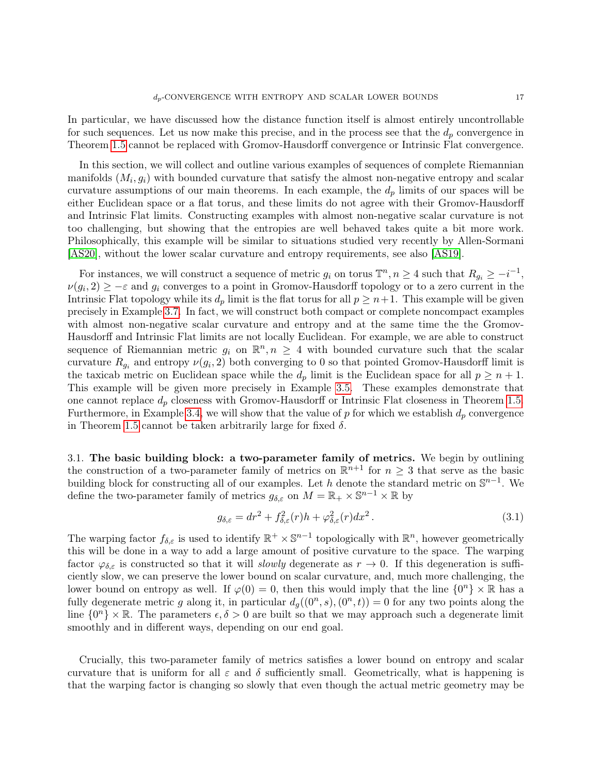In particular, we have discussed how the distance function itself is almost entirely uncontrollable for such sequences. Let us now make this precise, and in the process see that the  $d_p$  convergence in Theorem [1.5](#page-4-0) cannot be replaced with Gromov-Hausdorff convergence or Intrinsic Flat convergence.

In this section, we will collect and outline various examples of sequences of complete Riemannian manifolds  $(M_i, g_i)$  with bounded curvature that satisfy the almost non-negative entropy and scalar curvature assumptions of our main theorems. In each example, the  $d_p$  limits of our spaces will be either Euclidean space or a flat torus, and these limits do not agree with their Gromov-Hausdorff and Intrinsic Flat limits. Constructing examples with almost non-negative scalar curvature is not too challenging, but showing that the entropies are well behaved takes quite a bit more work. Philosophically, this example will be similar to situations studied very recently by Allen-Sormani [\[AS20\]](#page-21-20), without the lower scalar curvature and entropy requirements, see also [\[AS19\]](#page-21-21).

For instances, we will construct a sequence of metric  $g_i$  on torus  $\mathbb{T}^n, n \geq 4$  such that  $R_{g_i} \geq -i^{-1}$ ,  $\nu(g_i, 2) \geq -\varepsilon$  and  $g_i$  converges to a point in Gromov-Hausdorff topology or to a zero current in the Intrinsic Flat topology while its  $d_p$  limit is the flat torus for all  $p \geq n+1$ . This example will be given precisely in Example [3.7.](#page-19-1) In fact, we will construct both compact or complete noncompact examples with almost non-negative scalar curvature and entropy and at the same time the the Gromov-Hausdorff and Intrinsic Flat limits are not locally Euclidean. For example, we are able to construct sequence of Riemannian metric  $g_i$  on  $\mathbb{R}^n, n \geq 4$  with bounded curvature such that the scalar curvature  $R_{g_i}$  and entropy  $\nu(g_i, 2)$  both converging to 0 so that pointed Gromov-Hausdorff limit is the taxicab metric on Euclidean space while the  $d_p$  limit is the Euclidean space for all  $p \geq n+1$ . This example will be given more precisely in Example [3.5.](#page-18-0) These examples demonstrate that one cannot replace  $d_p$  closeness with Gromov-Hausdorff or Intrinsic Flat closeness in Theorem [1.5.](#page-4-0) Furthermore, in Example [3.4,](#page-18-1) we will show that the value of  $p$  for which we establish  $d_p$  convergence in Theorem [1.5](#page-4-0) cannot be taken arbitrarily large for fixed  $\delta$ .

3.1. The basic building block: a two-parameter family of metrics. We begin by outlining the construction of a two-parameter family of metrics on  $\mathbb{R}^{n+1}$  for  $n \geq 3$  that serve as the basic building block for constructing all of our examples. Let h denote the standard metric on  $\mathbb{S}^{n-1}$ . We define the two-parameter family of metrics  $g_{\delta,\varepsilon}$  on  $M = \mathbb{R}_+ \times \mathbb{S}^{n-1} \times \mathbb{R}$  by

<span id="page-16-0"></span>
$$
g_{\delta,\varepsilon} = dr^2 + f_{\delta,\varepsilon}^2(r)h + \varphi_{\delta,\varepsilon}^2(r)dx^2.
$$
\n(3.1)

The warping factor  $f_{\delta,\varepsilon}$  is used to identify  $\mathbb{R}^+\times\mathbb{S}^{n-1}$  topologically with  $\mathbb{R}^n$ , however geometrically this will be done in a way to add a large amount of positive curvature to the space. The warping factor  $\varphi_{\delta,\varepsilon}$  is constructed so that it will *slowly* degenerate as  $r \to 0$ . If this degeneration is sufficiently slow, we can preserve the lower bound on scalar curvature, and, much more challenging, the lower bound on entropy as well. If  $\varphi(0) = 0$ , then this would imply that the line  $\{0^n\} \times \mathbb{R}$  has a fully degenerate metric g along it, in particular  $d_g((0^n, s), (0^n, t)) = 0$  for any two points along the line  $\{0^n\}\times\mathbb{R}$ . The parameters  $\epsilon, \delta > 0$  are built so that we may approach such a degenerate limit smoothly and in different ways, depending on our end goal.

Crucially, this two-parameter family of metrics satisfies a lower bound on entropy and scalar curvature that is uniform for all  $\varepsilon$  and  $\delta$  sufficiently small. Geometrically, what is happening is that the warping factor is changing so slowly that even though the actual metric geometry may be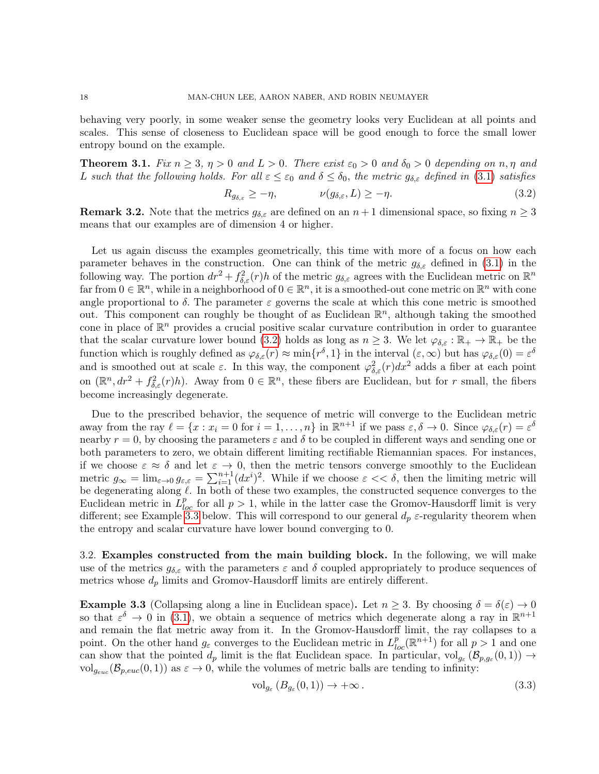behaving very poorly, in some weaker sense the geometry looks very Euclidean at all points and scales. This sense of closeness to Euclidean space will be good enough to force the small lower entropy bound on the example.

<span id="page-17-3"></span>**Theorem 3.1.** Fix  $n \geq 3$ ,  $n > 0$  and  $L > 0$ . There exist  $\varepsilon_0 > 0$  and  $\delta_0 > 0$  depending on n,  $\eta$  and L such that the following holds. For all  $\varepsilon \leq \varepsilon_0$  and  $\delta \leq \delta_0$ , the metric  $g_{\delta,\varepsilon}$  defined in [\(3.1\)](#page-16-0) satisfies

<span id="page-17-0"></span>
$$
R_{g_{\delta,\varepsilon}} \ge -\eta, \qquad \nu(g_{\delta,\varepsilon},L) \ge -\eta. \tag{3.2}
$$

**Remark 3.2.** Note that the metrics  $g_{\delta,\varepsilon}$  are defined on an  $n+1$  dimensional space, so fixing  $n \geq 3$ means that our examples are of dimension 4 or higher.

Let us again discuss the examples geometrically, this time with more of a focus on how each parameter behaves in the construction. One can think of the metric  $g_{\delta,\varepsilon}$  defined in [\(3.1\)](#page-16-0) in the following way. The portion  $dr^2 + f_{\delta,\varepsilon}^2(r)h$  of the metric  $g_{\delta,\varepsilon}$  agrees with the Euclidean metric on  $\mathbb{R}^n$ far from  $0 \in \mathbb{R}^n$ , while in a neighborhood of  $0 \in \mathbb{R}^n$ , it is a smoothed-out cone metric on  $\mathbb{R}^n$  with cone angle proportional to  $\delta$ . The parameter  $\varepsilon$  governs the scale at which this cone metric is smoothed out. This component can roughly be thought of as Euclidean  $\mathbb{R}^n$ , although taking the smoothed cone in place of  $\mathbb{R}^n$  provides a crucial positive scalar curvature contribution in order to guarantee that the scalar curvature lower bound [\(3.2\)](#page-17-0) holds as long as  $n \geq 3$ . We let  $\varphi_{\delta,\varepsilon} : \mathbb{R}_+ \to \mathbb{R}_+$  be the function which is roughly defined as  $\varphi_{\delta,\varepsilon}(r) \approx \min\{r^{\delta}, 1\}$  in the interval  $(\varepsilon, \infty)$  but has  $\varphi_{\delta,\varepsilon}(0) = \varepsilon^{\delta}$ and is smoothed out at scale  $\varepsilon$ . In this way, the component  $\varphi_{\delta,\varepsilon}^2(r)dx^2$  adds a fiber at each point on  $(\mathbb{R}^n, dr^2 + f_{\delta,\varepsilon}^2(r)h)$ . Away from  $0 \in \mathbb{R}^n$ , these fibers are Euclidean, but for r small, the fibers become increasingly degenerate.

Due to the prescribed behavior, the sequence of metric will converge to the Euclidean metric away from the ray  $\ell = \{x : x_i = 0 \text{ for } i = 1, \ldots, n\}$  in  $\mathbb{R}^{n+1}$  if we pass  $\varepsilon, \delta \to 0$ . Since  $\varphi_{\delta,\varepsilon}(r) = \varepsilon^{\delta}$ nearby  $r = 0$ , by choosing the parameters  $\varepsilon$  and  $\delta$  to be coupled in different ways and sending one or both parameters to zero, we obtain different limiting rectifiable Riemannian spaces. For instances, if we choose  $\varepsilon \approx \delta$  and let  $\varepsilon \to 0$ , then the metric tensors converge smoothly to the Euclidean metric  $g_{\infty} = \lim_{\varepsilon \to 0} g_{\varepsilon,\varepsilon} = \sum_{i=1}^{n+1} (dx^i)^2$ . While if we choose  $\varepsilon < \delta$ , then the limiting metric will be degenerating along  $\ell$ . In both of these two examples, the constructed sequence converges to the Euclidean metric in  $\tilde{L}_{loc}^p$  for all  $p > 1$ , while in the latter case the Gromov-Hausdorff limit is very different; see Example [3.3](#page-17-1) below. This will correspond to our general  $d_p$   $\varepsilon$ -regularity theorem when the entropy and scalar curvature have lower bound converging to 0.

3.2. Examples constructed from the main building block. In the following, we will make use of the metrics  $g_{\delta,\varepsilon}$  with the parameters  $\varepsilon$  and  $\delta$  coupled appropriately to produce sequences of metrics whose  $d_p$  limits and Gromov-Hausdorff limits are entirely different.

<span id="page-17-1"></span>**Example 3.3** (Collapsing along a line in Euclidean space). Let  $n \geq 3$ . By choosing  $\delta = \delta(\varepsilon) \to 0$ so that  $\varepsilon^{\delta} \to 0$  in [\(3.1\)](#page-16-0), we obtain a sequence of metrics which degenerate along a ray in  $\mathbb{R}^{n+1}$ and remain the flat metric away from it. In the Gromov-Hausdorff limit, the ray collapses to a point. On the other hand  $g_{\varepsilon}$  converges to the Euclidean metric in  $L_{loc}^p(\mathbb{R}^{n+1})$  for all  $p>1$  and one can show that the pointed  $d_p$  limit is the flat Euclidean space. In particular,  $vol_{g_{\varepsilon}}(\mathcal{B}_{p,g_{\varepsilon}}(0,1)) \to$  $vol_{g_{euc}}(\mathcal{B}_{p,euc}(0,1))$  as  $\varepsilon \to 0$ , while the volumes of metric balls are tending to infinity:

<span id="page-17-2"></span>
$$
\mathrm{vol}_{g_{\varepsilon}}\left(B_{g_{\varepsilon}}(0,1)\right) \to +\infty\,. \tag{3.3}
$$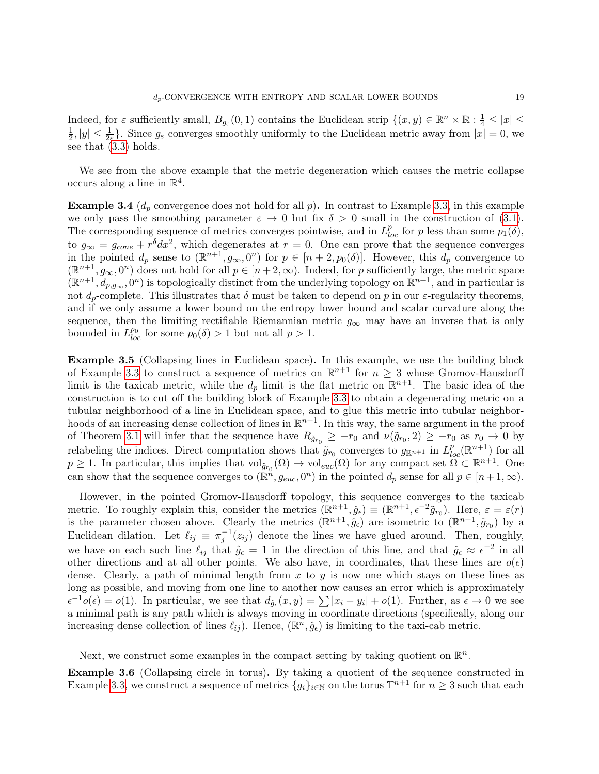Indeed, for  $\varepsilon$  sufficiently small,  $B_{g_{\varepsilon}}(0,1)$  contains the Euclidean strip  $\{(x,y)\in\mathbb{R}^n\times\mathbb{R}:\frac{1}{4}\leq|x|\leq$ 1  $\frac{1}{2}$ ,  $|y| \leq \frac{1}{2\varepsilon}$ . Since  $g_{\varepsilon}$  converges smoothly uniformly to the Euclidean metric away from  $|x| = 0$ , we see that [\(3.3\)](#page-17-2) holds.

We see from the above example that the metric degeneration which causes the metric collapse occurs along a line in  $\mathbb{R}^4$ .

<span id="page-18-1"></span>**Example 3.4** ( $d_p$  convergence does not hold for all p). In contrast to Example [3.3,](#page-17-1) in this example we only pass the smoothing parameter  $\varepsilon \to 0$  but fix  $\delta > 0$  small in the construction of [\(3.1\)](#page-16-0). The corresponding sequence of metrics converges pointwise, and in  $L_{loc}^p$  for p less than some  $p_1(\delta)$ , to  $g_{\infty} = g_{cone} + r^{\delta} dx^2$ , which degenerates at  $r = 0$ . One can prove that the sequence converges in the pointed  $d_p$  sense to  $(\mathbb{R}^{n+1}, g_{\infty}, 0^n)$  for  $p \in [n+2, p_0(\delta)]$ . However, this  $d_p$  convergence to  $(\mathbb{R}^{n+1}, g_{\infty}, 0^n)$  does not hold for all  $p \in [n+2, \infty)$ . Indeed, for p sufficiently large, the metric space  $(\mathbb{R}^{n+1}, d_{p,g_\infty}, 0^n)$  is topologically distinct from the underlying topology on  $\mathbb{R}^{n+1}$ , and in particular is not  $d_p$ -complete. This illustrates that  $\delta$  must be taken to depend on p in our  $\varepsilon$ -regularity theorems, and if we only assume a lower bound on the entropy lower bound and scalar curvature along the sequence, then the limiting rectifiable Riemannian metric  $g_{\infty}$  may have an inverse that is only bounded in  $L^{p_0}_{loc}$  for some  $p_0(\delta) > 1$  but not all  $p > 1$ .

<span id="page-18-0"></span>Example 3.5 (Collapsing lines in Euclidean space). In this example, we use the building block of Example [3.3](#page-17-1) to construct a sequence of metrics on  $\mathbb{R}^{n+1}$  for  $n \geq 3$  whose Gromov-Hausdorff limit is the taxicab metric, while the  $d_p$  limit is the flat metric on  $\mathbb{R}^{n+1}$ . The basic idea of the construction is to cut off the building block of Example [3.3](#page-17-1) to obtain a degenerating metric on a tubular neighborhood of a line in Euclidean space, and to glue this metric into tubular neighborhoods of an increasing dense collection of lines in  $\mathbb{R}^{n+1}$ . In this way, the same argument in the proof of Theorem [3.1](#page-17-3) will infer that the sequence have  $R_{\tilde{g}_{r_0}} \geq -r_0$  and  $\nu(\tilde{g}_{r_0}, 2) \geq -r_0$  as  $r_0 \to 0$  by relabeling the indices. Direct computation shows that  $\tilde{g}_{r_0}$  converges to  $g_{\mathbb{R}^{n+1}}$  in  $L_{loc}^p(\mathbb{R}^{n+1})$  for all  $p \geq 1$ . In particular, this implies that  $\mathrm{vol}_{\tilde{g}_{r_0}}(\Omega) \to \mathrm{vol}_{euc}(\Omega)$  for any compact set  $\Omega \subset \mathbb{R}^{n+1}$ . One can show that the sequence converges to  $(\mathbb{R}^n, g_{euc}, 0^n)$  in the pointed  $d_p$  sense for all  $p \in [n+1,\infty)$ .

However, in the pointed Gromov-Hausdorff topology, this sequence converges to the taxicab metric. To roughly explain this, consider the metrics  $(\mathbb{R}^{n+1}, \hat{g}_{\epsilon}) \equiv (\mathbb{R}^{n+1}, \epsilon^{-2} \tilde{g}_{r_0})$ . Here,  $\varepsilon = \varepsilon(r)$ is the parameter chosen above. Clearly the metrics  $(\mathbb{R}^{n+1}, \hat{g}_{\epsilon})$  are isometric to  $(\mathbb{R}^{n+1}, \tilde{g}_{r_0})$  by a Euclidean dilation. Let  $\ell_{ij} \equiv \pi_j^{-1}(z_{ij})$  denote the lines we have glued around. Then, roughly, we have on each such line  $\ell_{ij}$  that  $\hat{g}_{\epsilon} = 1$  in the direction of this line, and that  $\hat{g}_{\epsilon} \approx \epsilon^{-2}$  in all other directions and at all other points. We also have, in coordinates, that these lines are  $o(\epsilon)$ dense. Clearly, a path of minimal length from  $x$  to  $y$  is now one which stays on these lines as long as possible, and moving from one line to another now causes an error which is approximately  $\epsilon^{-1}o(\epsilon) = o(1)$ . In particular, we see that  $d_{\hat{g}_{\epsilon}}(x, y) = \sum |x_i - y_i| + o(1)$ . Further, as  $\epsilon \to 0$  we see a minimal path is any path which is always moving in coordinate directions (specifically, along our increasing dense collection of lines  $\ell_{ij}$ ). Hence,  $(\mathbb{R}^n, \hat{g}_{\epsilon})$  is limiting to the taxi-cab metric.

Next, we construct some examples in the compact setting by taking quotient on  $\mathbb{R}^n$ .

<span id="page-18-2"></span>Example 3.6 (Collapsing circle in torus). By taking a quotient of the sequence constructed in Example [3.3,](#page-17-1) we construct a sequence of metrics  ${g_i}_{i\in\mathbb{N}}$  on the torus  $\mathbb{T}^{n+1}$  for  $n\geq 3$  such that each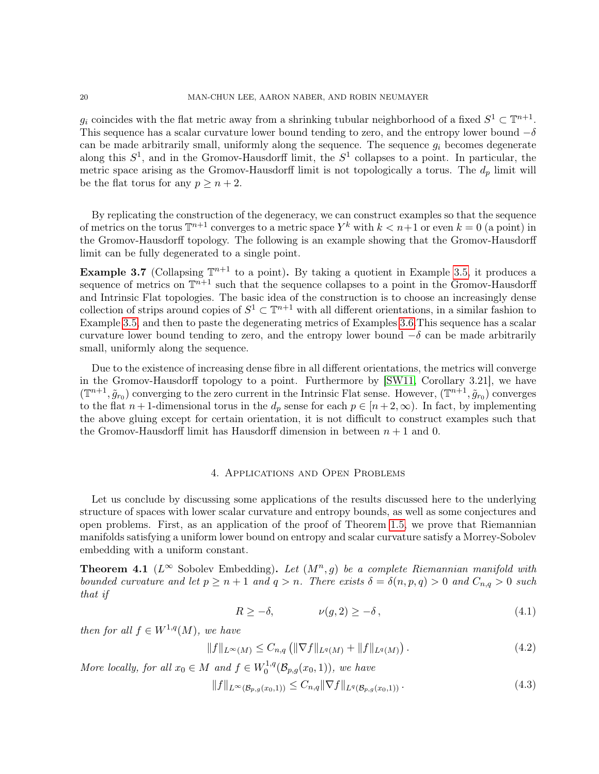$g_i$  coincides with the flat metric away from a shrinking tubular neighborhood of a fixed  $S^1 \subset \mathbb{T}^{n+1}$ . This sequence has a scalar curvature lower bound tending to zero, and the entropy lower bound  $-\delta$ can be made arbitrarily small, uniformly along the sequence. The sequence  $g_i$  becomes degenerate along this  $S^1$ , and in the Gromov-Hausdorff limit, the  $S^1$  collapses to a point. In particular, the metric space arising as the Gromov-Hausdorff limit is not topologically a torus. The  $d_p$  limit will be the flat torus for any  $p \geq n+2$ .

By replicating the construction of the degeneracy, we can construct examples so that the sequence of metrics on the torus  $\mathbb{T}^{n+1}$  converges to a metric space  $Y^k$  with  $k < n+1$  or even  $k = 0$  (a point) in the Gromov-Hausdorff topology. The following is an example showing that the Gromov-Hausdorff limit can be fully degenerated to a single point.

<span id="page-19-1"></span>**Example 3.7** (Collapsing  $\mathbb{T}^{n+1}$  to a point). By taking a quotient in Example [3.5,](#page-18-0) it produces a sequence of metrics on  $\mathbb{T}^{n+1}$  such that the sequence collapses to a point in the Gromov-Hausdorff and Intrinsic Flat topologies. The basic idea of the construction is to choose an increasingly dense collection of strips around copies of  $S^1 \subset \mathbb{T}^{n+1}$  with all different orientations, in a similar fashion to Example [3.5,](#page-18-0) and then to paste the degenerating metrics of Examples [3.6.](#page-18-2)This sequence has a scalar curvature lower bound tending to zero, and the entropy lower bound  $-\delta$  can be made arbitrarily small, uniformly along the sequence.

Due to the existence of increasing dense fibre in all different orientations, the metrics will converge in the Gromov-Hausdorff topology to a point. Furthermore by [\[SW11,](#page-21-6) Corollary 3.21], we have  $(\mathbb{T}^{n+1}, \tilde{g}_{r_0})$  converging to the zero current in the Intrinsic Flat sense. However,  $(\mathbb{T}^{n+1}, \tilde{g}_{r_0})$  converges to the flat  $n+1$ -dimensional torus in the  $d_p$  sense for each  $p \in [n+2,\infty)$ . In fact, by implementing the above gluing except for certain orientation, it is not difficult to construct examples such that the Gromov-Hausdorff limit has Hausdorff dimension in between  $n + 1$  and 0.

### 4. Applications and Open Problems

<span id="page-19-0"></span>Let us conclude by discussing some applications of the results discussed here to the underlying structure of spaces with lower scalar curvature and entropy bounds, as well as some conjectures and open problems. First, as an application of the proof of Theorem [1.5,](#page-4-0) we prove that Riemannian manifolds satisfying a uniform lower bound on entropy and scalar curvature satisfy a Morrey-Sobolev embedding with a uniform constant.

**Theorem 4.1** ( $L^{\infty}$  Sobolev Embedding). Let  $(M^n, g)$  be a complete Riemannian manifold with bounded curvature and let  $p \ge n+1$  and  $q > n$ . There exists  $\delta = \delta(n, p, q) > 0$  and  $C_{n,q} > 0$  such that if

$$
R \ge -\delta, \qquad \qquad \nu(g, 2) \ge -\delta \,, \tag{4.1}
$$

then for all  $f \in W^{1,q}(M)$ , we have

$$
||f||_{L^{\infty}(M)} \leq C_{n,q} (||\nabla f||_{L^{q}(M)} + ||f||_{L^{q}(M)}).
$$
\n(4.2)

More locally, for all  $x_0 \in M$  and  $f \in W_0^{1,q}$  $b_0^{1,q}(\mathcal{B}_{p,g}(x_0,1)),$  we have

<span id="page-19-2"></span>
$$
||f||_{L^{\infty}(\mathcal{B}_{p,g}(x_0,1))} \leq C_{n,q} ||\nabla f||_{L^{q}(\mathcal{B}_{p,g}(x_0,1))}.
$$
\n(4.3)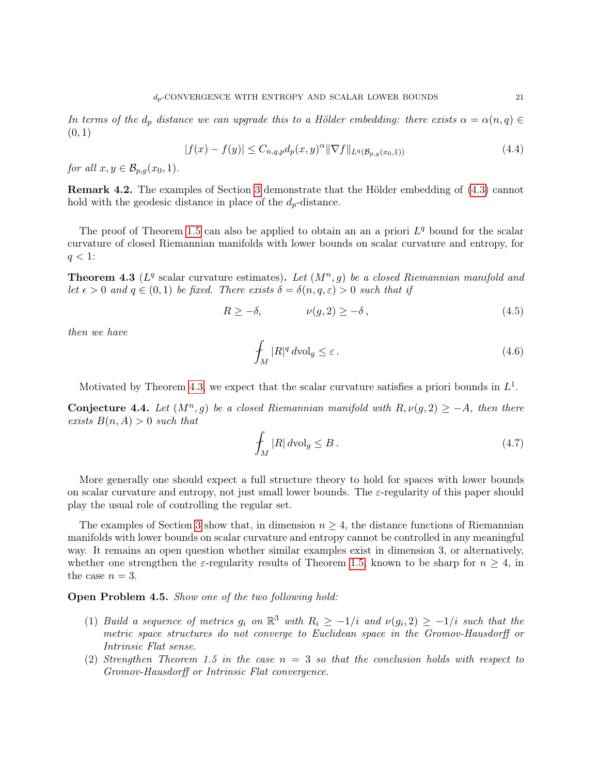In terms of the  $d_p$  distance we can upgrade this to a Hölder embedding: there exists  $\alpha = \alpha(n,q) \in$  $(0, 1)$ 

$$
|f(x) - f(y)| \le C_{n,q,p} d_p(x,y)^{\alpha} \|\nabla f\|_{L^q(\mathcal{B}_{p,q}(x_0,1))}
$$
\n(4.4)

for all  $x, y \in \mathcal{B}_{p,q}(x_0, 1)$ .

Remark 4.2. The examples of Section [3](#page-15-0) demonstrate that the Hölder embedding of [\(4.3\)](#page-19-2) cannot hold with the geodesic distance in place of the  $d_p$ -distance.

The proof of Theorem [1.5](#page-4-0) can also be applied to obtain an an a priori  $L<sup>q</sup>$  bound for the scalar curvature of closed Riemannian manifolds with lower bounds on scalar curvature and entropy, for  $q < 1$ :

<span id="page-20-0"></span>**Theorem 4.3** ( $L<sup>q</sup>$  scalar curvature estimates). Let  $(M<sup>n</sup>, g)$  be a closed Riemannian manifold and let  $\epsilon > 0$  and  $q \in (0,1)$  be fixed. There exists  $\delta = \delta(n,q,\epsilon) > 0$  such that if

$$
R \ge -\delta, \qquad \qquad \nu(g, 2) \ge -\delta \,, \tag{4.5}
$$

then we have

$$
\oint_{M} |R|^{q} \, d\text{vol}_{g} \leq \varepsilon \,. \tag{4.6}
$$

Motivated by Theorem [4.3,](#page-20-0) we expect that the scalar curvature satisfies a priori bounds in  $L^1$ .

**Conjecture 4.4.** Let  $(M^n, g)$  be a closed Riemannian manifold with  $R, \nu(g, 2) \geq -A$ , then there exists  $B(n, A) > 0$  such that

$$
\int_{M} |R| \, d\text{vol}_g \leq B \,. \tag{4.7}
$$

More generally one should expect a full structure theory to hold for spaces with lower bounds on scalar curvature and entropy, not just small lower bounds. The  $\varepsilon$ -regularity of this paper should play the usual role of controlling the regular set.

The examples of Section [3](#page-15-0) show that, in dimension  $n \geq 4$ , the distance functions of Riemannian manifolds with lower bounds on scalar curvature and entropy cannot be controlled in any meaningful way. It remains an open question whether similar examples exist in dimension 3, or alternatively, whether one strengthen the  $\varepsilon$ -regularity results of Theorem [1.5,](#page-4-0) known to be sharp for  $n \geq 4$ , in the case  $n = 3$ .

## Open Problem 4.5. Show one of the two following hold:

- (1) Build a sequence of metrics  $g_i$  on  $\mathbb{R}^3$  with  $R_i \geq -1/i$  and  $\nu(g_i, 2) \geq -1/i$  such that the metric space structures do not converge to Euclidean space in the Gromov-Hausdorff or Intrinsic Flat sense.
- (2) Strengthen Theorem 1.5 in the case  $n = 3$  so that the conclusion holds with respect to Gromov-Hausdorff or Intrinsic Flat convergence.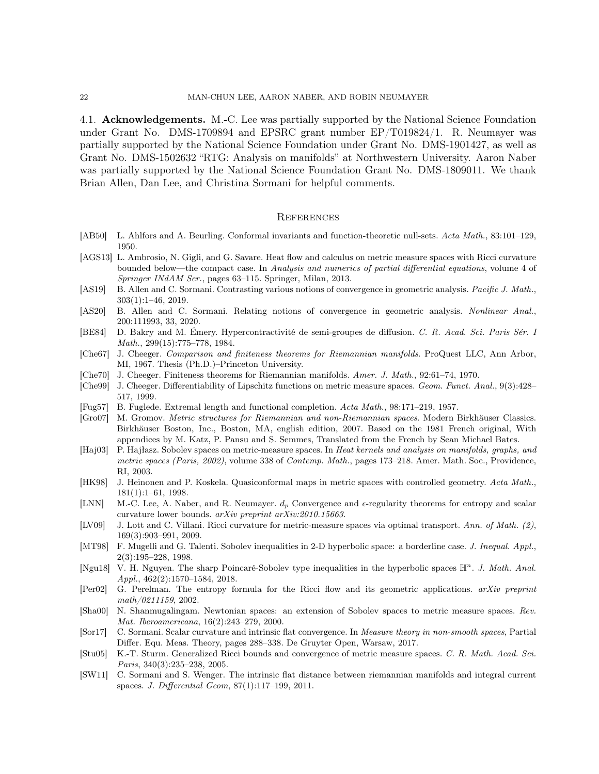4.1. **Acknowledgements.** M.-C. Lee was partially supported by the National Science Foundation under Grant No. DMS-1709894 and EPSRC grant number EP/T019824/1. R. Neumayer was partially supported by the National Science Foundation under Grant No. DMS-1901427, as well as Grant No. DMS-1502632 "RTG: Analysis on manifolds" at Northwestern University. Aaron Naber was partially supported by the National Science Foundation Grant No. DMS-1809011. We thank Brian Allen, Dan Lee, and Christina Sormani for helpful comments.

#### <span id="page-21-0"></span>**REFERENCES**

- <span id="page-21-15"></span>[AB50] L. Ahlfors and A. Beurling. Conformal invariants and function-theoretic null-sets. Acta Math., 83:101–129, 1950.
- <span id="page-21-7"></span>[AGS13] L. Ambrosio, N. Gigli, and G. Savare. Heat flow and calculus on metric measure spaces with Ricci curvature bounded below—the compact case. In Analysis and numerics of partial differential equations, volume 4 of Springer INdAM Ser., pages 63–115. Springer, Milan, 2013.
- <span id="page-21-21"></span>[AS19] B. Allen and C. Sormani. Contrasting various notions of convergence in geometric analysis. Pacific J. Math., 303(1):1–46, 2019.
- <span id="page-21-20"></span>[AS20] B. Allen and C. Sormani. Relating notions of convergence in geometric analysis. Nonlinear Anal., 200:111993, 33, 2020.
- <span id="page-21-8"></span>[BE84] D. Bakry and M. Émery. Hypercontractivité de semi-groupes de diffusion. C. R. Acad. Sci. Paris Sér. I Math., 299(15):775–778, 1984.
- <span id="page-21-1"></span>[Che67] J. Cheeger. Comparison and finiteness theorems for Riemannian manifolds. ProQuest LLC, Ann Arbor, MI, 1967. Thesis (Ph.D.)–Princeton University.
- <span id="page-21-2"></span>[Che70] J. Cheeger. Finiteness theorems for Riemannian manifolds. Amer. J. Math., 92:61–74, 1970.
- <span id="page-21-19"></span>[Che99] J. Cheeger. Differentiability of Lipschitz functions on metric measure spaces. Geom. Funct. Anal., 9(3):428– 517, 1999.
- <span id="page-21-16"></span>[Fug57] B. Fuglede. Extremal length and functional completion. Acta Math., 98:171–219, 1957.
- <span id="page-21-3"></span>[Gro07] M. Gromov. Metric structures for Riemannian and non-Riemannian spaces. Modern Birkhäuser Classics. Birkhäuser Boston, Inc., Boston, MA, english edition, 2007. Based on the 1981 French original, With appendices by M. Katz, P. Pansu and S. Semmes, Translated from the French by Sean Michael Bates.
- <span id="page-21-14"></span>[Haj03] P. Hajłasz. Sobolev spaces on metric-measure spaces. In Heat kernels and analysis on manifolds, graphs, and metric spaces (Paris, 2002), volume 338 of Contemp. Math., pages 173–218. Amer. Math. Soc., Providence, RI, 2003.
- <span id="page-21-17"></span>[HK98] J. Heinonen and P. Koskela. Quasiconformal maps in metric spaces with controlled geometry. Acta Math., 181(1):1–61, 1998.
- <span id="page-21-4"></span>[LNN] M.-C. Lee, A. Naber, and R. Neumayer.  $d_p$  Convergence and  $\epsilon$ -regularity theorems for entropy and scalar curvature lower bounds. arXiv preprint arXiv:2010.15663.
- <span id="page-21-10"></span>[LV09] J. Lott and C. Villani. Ricci curvature for metric-measure spaces via optimal transport. Ann. of Math. (2), 169(3):903–991, 2009.
- <span id="page-21-12"></span>[MT98] F. Mugelli and G. Talenti. Sobolev inequalities in 2-D hyperbolic space: a borderline case. J. Inequal. Appl., 2(3):195–228, 1998.
- <span id="page-21-11"></span>[Ngu18] V. H. Nguyen. The sharp Poincaré-Sobolev type inequalities in the hyperbolic spaces  $\mathbb{H}^n$ . J. Math. Anal. Appl., 462(2):1570–1584, 2018.
- <span id="page-21-13"></span>[Per02] G. Perelman. The entropy formula for the Ricci flow and its geometric applications. arXiv preprint math/0211159, 2002.
- <span id="page-21-18"></span>[Sha00] N. Shanmugalingam. Newtonian spaces: an extension of Sobolev spaces to metric measure spaces. Rev. Mat. Iberoamericana, 16(2):243–279, 2000.
- <span id="page-21-5"></span>[Sor17] C. Sormani. Scalar curvature and intrinsic flat convergence. In Measure theory in non-smooth spaces, Partial Differ. Equ. Meas. Theory, pages 288–338. De Gruyter Open, Warsaw, 2017.
- <span id="page-21-9"></span>[Stu05] K.-T. Sturm. Generalized Ricci bounds and convergence of metric measure spaces. C. R. Math. Acad. Sci. Paris, 340(3):235–238, 2005.
- <span id="page-21-6"></span>[SW11] C. Sormani and S. Wenger. The intrinsic flat distance between riemannian manifolds and integral current spaces. J. Differential Geom, 87(1):117–199, 2011.